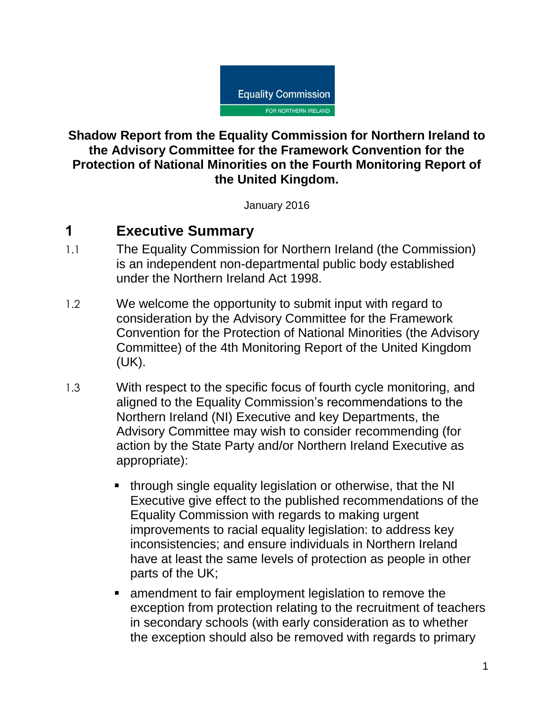

#### **Shadow Report from the Equality Commission for Northern Ireland to the Advisory Committee for the Framework Convention for the Protection of National Minorities on the Fourth Monitoring Report of the United Kingdom.**

January 2016

# **1 Executive Summary**

- 1.1 The Equality Commission for Northern Ireland (the Commission) is an independent non-departmental public body established under the Northern Ireland Act 1998.
- 1.2 We welcome the opportunity to submit input with regard to consideration by the Advisory Committee for the Framework Convention for the Protection of National Minorities (the Advisory Committee) of the 4th Monitoring Report of the United Kingdom (UK).
- 1.3 With respect to the specific focus of fourth cycle monitoring, and aligned to the Equality Commission's recommendations to the Northern Ireland (NI) Executive and key Departments, the Advisory Committee may wish to consider recommending (for action by the State Party and/or Northern Ireland Executive as appropriate):
	- **through single equality legislation or otherwise, that the NI** Executive give effect to the published recommendations of the Equality Commission with regards to making urgent improvements to racial equality legislation: to address key inconsistencies; and ensure individuals in Northern Ireland have at least the same levels of protection as people in other parts of the UK;
	- amendment to fair employment legislation to remove the exception from protection relating to the recruitment of teachers in secondary schools (with early consideration as to whether the exception should also be removed with regards to primary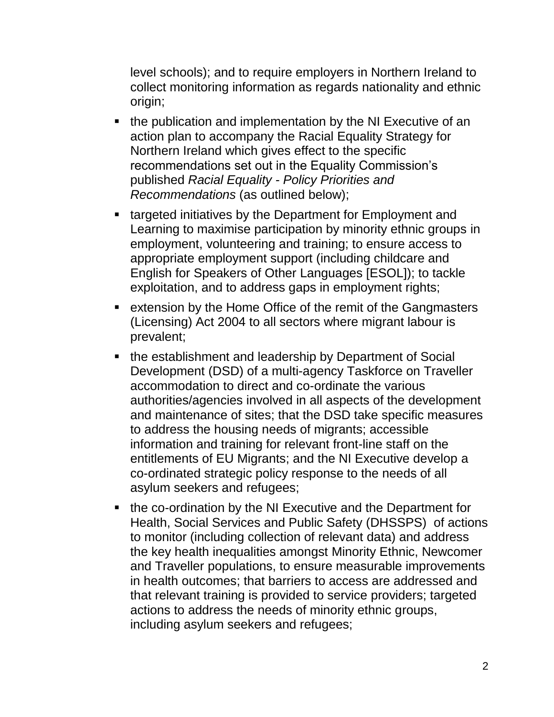level schools); and to require employers in Northern Ireland to collect monitoring information as regards nationality and ethnic origin;

- the publication and implementation by the NI Executive of an action plan to accompany the Racial Equality Strategy for Northern Ireland which gives effect to the specific recommendations set out in the Equality Commission's published *Racial Equality - Policy Priorities and Recommendations* (as outlined below);
- **targeted initiatives by the Department for Employment and** Learning to maximise participation by minority ethnic groups in employment, volunteering and training; to ensure access to appropriate employment support (including childcare and English for Speakers of Other Languages [ESOL]); to tackle exploitation, and to address gaps in employment rights;
- **EXTERGHORER 12 IN EXTERGHORE FIGHTS IN STARK IS CONCOCO EXTERGHORE IS CONCOCO FIGHTS IN EXTERGHORE FIGHTS** (Licensing) Act 2004 to all sectors where migrant labour is prevalent;
- the establishment and leadership by Department of Social Development (DSD) of a multi-agency Taskforce on Traveller accommodation to direct and co-ordinate the various authorities/agencies involved in all aspects of the development and maintenance of sites; that the DSD take specific measures to address the housing needs of migrants; accessible information and training for relevant front-line staff on the entitlements of EU Migrants; and the NI Executive develop a co-ordinated strategic policy response to the needs of all asylum seekers and refugees;
- the co-ordination by the NI Executive and the Department for Health, Social Services and Public Safety (DHSSPS) of actions to monitor (including collection of relevant data) and address the key health inequalities amongst Minority Ethnic, Newcomer and Traveller populations, to ensure measurable improvements in health outcomes; that barriers to access are addressed and that relevant training is provided to service providers; targeted actions to address the needs of minority ethnic groups, including asylum seekers and refugees;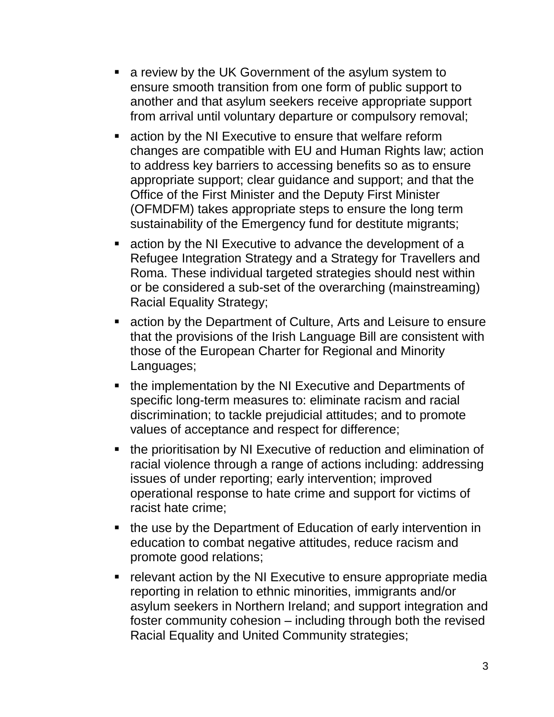- a review by the UK Government of the asylum system to ensure smooth transition from one form of public support to another and that asylum seekers receive appropriate support from arrival until voluntary departure or compulsory removal;
- action by the NI Executive to ensure that welfare reform changes are compatible with EU and Human Rights law; action to address key barriers to accessing benefits so as to ensure appropriate support; clear guidance and support; and that the Office of the First Minister and the Deputy First Minister (OFMDFM) takes appropriate steps to ensure the long term sustainability of the Emergency fund for destitute migrants;
- action by the NI Executive to advance the development of a Refugee Integration Strategy and a Strategy for Travellers and Roma. These individual targeted strategies should nest within or be considered a sub-set of the overarching (mainstreaming) Racial Equality Strategy;
- action by the Department of Culture, Arts and Leisure to ensure that the provisions of the Irish Language Bill are consistent with those of the European Charter for Regional and Minority Languages;
- the implementation by the NI Executive and Departments of specific long-term measures to: eliminate racism and racial discrimination; to tackle prejudicial attitudes; and to promote values of acceptance and respect for difference;
- the prioritisation by NI Executive of reduction and elimination of racial violence through a range of actions including: addressing issues of under reporting; early intervention; improved operational response to hate crime and support for victims of racist hate crime;
- the use by the Department of Education of early intervention in education to combat negative attitudes, reduce racism and promote good relations;
- **•** relevant action by the NI Executive to ensure appropriate media reporting in relation to ethnic minorities, immigrants and/or asylum seekers in Northern Ireland; and support integration and foster community cohesion – including through both the revised Racial Equality and United Community strategies;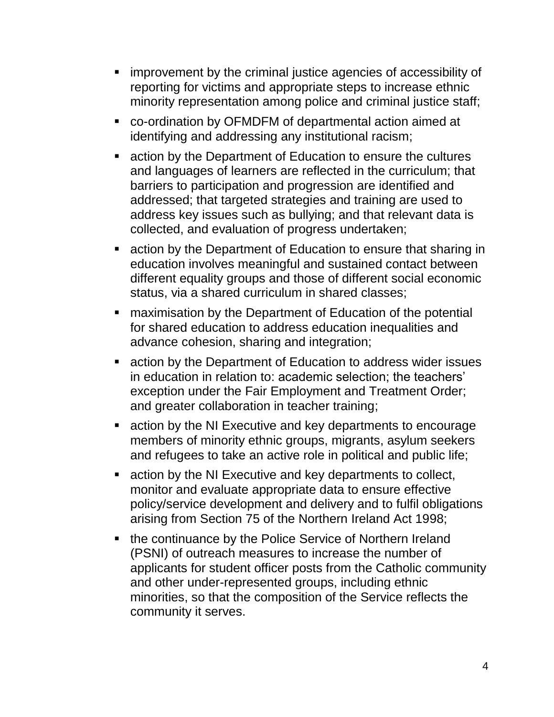- **EX improvement by the criminal justice agencies of accessibility of** reporting for victims and appropriate steps to increase ethnic minority representation among police and criminal justice staff;
- co-ordination by OFMDFM of departmental action aimed at identifying and addressing any institutional racism;
- **Example 2 responding 1** action by the Department of Education to ensure the cultures and languages of learners are reflected in the curriculum; that barriers to participation and progression are identified and addressed; that targeted strategies and training are used to address key issues such as bullying; and that relevant data is collected, and evaluation of progress undertaken;
- action by the Department of Education to ensure that sharing in education involves meaningful and sustained contact between different equality groups and those of different social economic status, via a shared curriculum in shared classes;
- **EXEDER** maximisation by the Department of Education of the potential for shared education to address education inequalities and advance cohesion, sharing and integration;
- action by the Department of Education to address wider issues in education in relation to: academic selection; the teachers' exception under the Fair Employment and Treatment Order; and greater collaboration in teacher training;
- **EXTER** action by the NI Executive and key departments to encourage members of minority ethnic groups, migrants, asylum seekers and refugees to take an active role in political and public life;
- action by the NI Executive and key departments to collect, monitor and evaluate appropriate data to ensure effective policy/service development and delivery and to fulfil obligations arising from Section 75 of the Northern Ireland Act 1998;
- the continuance by the Police Service of Northern Ireland (PSNI) of outreach measures to increase the number of applicants for student officer posts from the Catholic community and other under-represented groups, including ethnic minorities, so that the composition of the Service reflects the community it serves.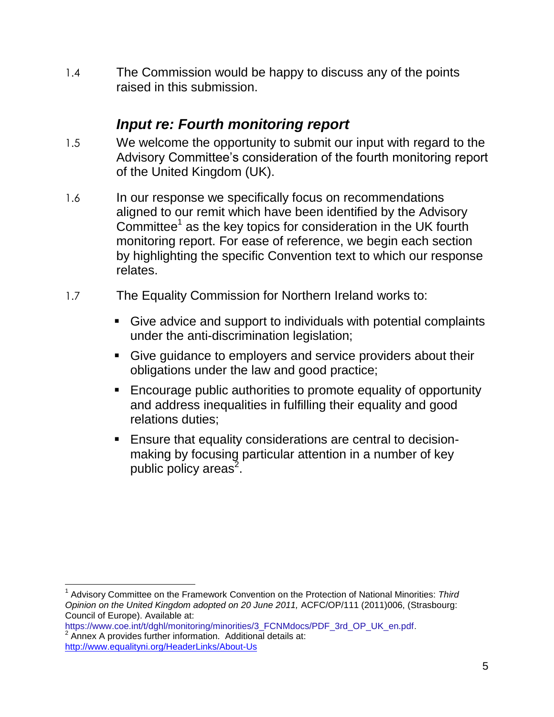1.4 The Commission would be happy to discuss any of the points raised in this submission.

### *Input re: Fourth monitoring report*

- 1.5 We welcome the opportunity to submit our input with regard to the Advisory Committee's consideration of the fourth monitoring report of the United Kingdom (UK).
- 1.6 In our response we specifically focus on recommendations aligned to our remit which have been identified by the Advisory Committee<sup>1</sup> as the key topics for consideration in the UK fourth monitoring report. For ease of reference, we begin each section by highlighting the specific Convention text to which our response relates.
- 1.7 The Equality Commission for Northern Ireland works to:
	- Give advice and support to individuals with potential complaints under the anti-discrimination legislation;
	- Give guidance to employers and service providers about their obligations under the law and good practice;
	- Encourage public authorities to promote equality of opportunity and address inequalities in fulfilling their equality and good relations duties;
	- **Ensure that equality considerations are central to decision**making by focusing particular attention in a number of key public policy areas<sup>2</sup>.

 $\overline{a}$ 1 Advisory Committee on the Framework Convention on the Protection of National Minorities: *Third Opinion on the United Kingdom adopted on 20 June 2011,* ACFC/OP/111 (2011)006, (Strasbourg: Council of Europe). Available at:

[https://www.coe.int/t/dghl/monitoring/minorities/3\\_FCNMdocs/PDF\\_3rd\\_OP\\_UK\\_en.pdf.](https://www.coe.int/t/dghl/monitoring/minorities/3_FCNMdocs/PDF_3rd_OP_UK_en.pdf) Annex A provides further information. Additional details at: <http://www.equalityni.org/HeaderLinks/About-Us>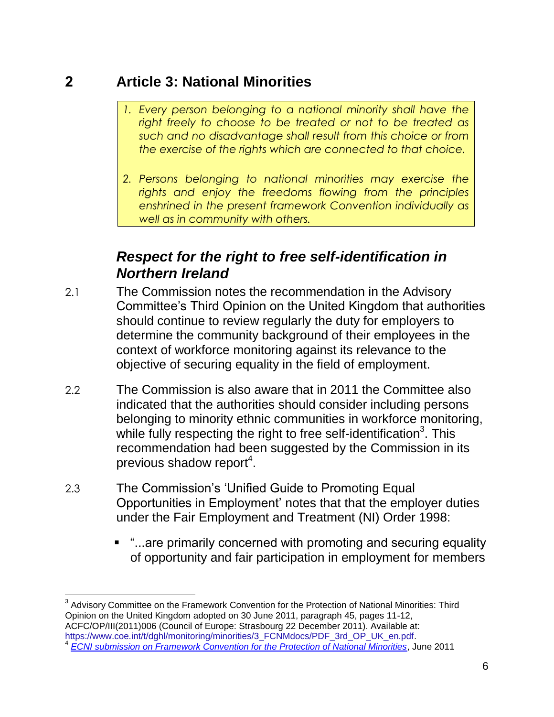### **2 Article 3: National Minorities**

- *1. Every person belonging to a national minority shall have the right freely to choose to be treated or not to be treated as such and no disadvantage shall result from this choice or from the exercise of the rights which are connected to that choice.*
- *2. Persons belonging to national minorities may exercise the rights and enjoy the freedoms flowing from the principles enshrined in the present framework Convention individually as well as in community with others.*

# *Respect for the right to free self-identification in Northern Ireland*

- 2.1 The Commission notes the recommendation in the Advisory Committee's Third Opinion on the United Kingdom that authorities should continue to review regularly the duty for employers to determine the community background of their employees in the context of workforce monitoring against its relevance to the objective of securing equality in the field of employment.
- 2.2 The Commission is also aware that in 2011 the Committee also indicated that the authorities should consider including persons belonging to minority ethnic communities in workforce monitoring, while fully respecting the right to free self-identification<sup>3</sup>. This recommendation had been suggested by the Commission in its previous shadow report<sup>4</sup>.
- 2.3 The Commission's 'Unified Guide to Promoting Equal Opportunities in Employment' notes that that the employer duties under the Fair Employment and Treatment (NI) Order 1998:
	- "...are primarily concerned with promoting and securing equality of opportunity and fair participation in employment for members

 $\overline{a}$  $3$  Advisory Committee on the Framework Convention for the Protection of National Minorities: Third Opinion on the United Kingdom adopted on 30 June 2011, paragraph 45, pages 11-12, ACFC/OP/III(2011)006 (Council of Europe: Strasbourg 22 December 2011). Available at: [https://www.coe.int/t/dghl/monitoring/minorities/3\\_FCNMdocs/PDF\\_3rd\\_OP\\_UK\\_en.pdf.](https://www.coe.int/t/dghl/monitoring/minorities/3_FCNMdocs/PDF_3rd_OP_UK_en.pdf)<br>4 FCNL submission on Framework Convention for the Protection of National Minorities *[ECNI submission on Framework Convention for the Protection of National Minorities](http://www.google.co.uk/url?sa=t&rct=j&q=&esrc=s&source=web&cd=1&cad=rja&uact=8&ved=0CCEQFjAA&url=http%3A%2F%2Fwww.equalityni.org%2FECNI%2Fmedia%2FECNI%2FConsultation%2520Responses%2F2011%2FUN-Protection-National-Minorities-June-2011.pdf&ei=zTVaVNvMJ_LhsAT)*, June 2011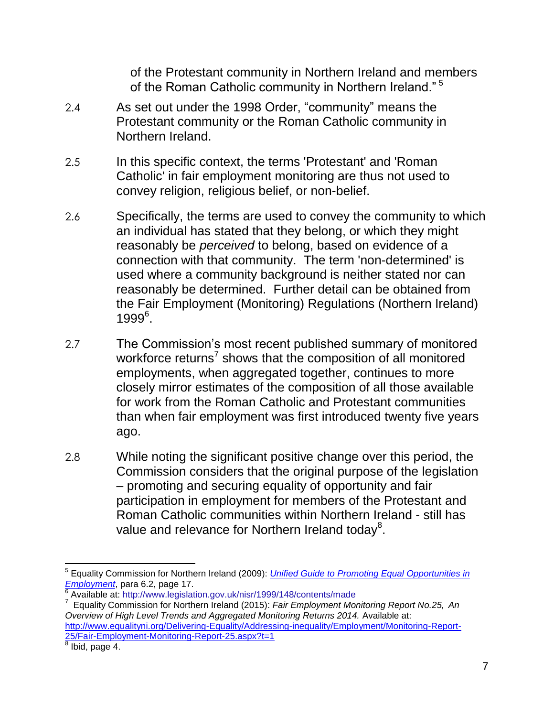of the Protestant community in Northern Ireland and members of the Roman Catholic community in Northern Ireland." <sup>5</sup>

- 2.4 As set out under the 1998 Order, "community" means the Protestant community or the Roman Catholic community in Northern Ireland.
- 2.5 In this specific context, the terms 'Protestant' and 'Roman Catholic' in fair employment monitoring are thus not used to convey religion, religious belief, or non-belief.
- 2.6 Specifically, the terms are used to convey the community to which an individual has stated that they belong, or which they might reasonably be *perceived* to belong, based on evidence of a connection with that community. The term 'non-determined' is used where a community background is neither stated nor can reasonably be determined. Further detail can be obtained from the Fair Employment (Monitoring) Regulations (Northern Ireland) 1999<sup>6</sup>.
- 2.7 The Commission's most recent published summary of monitored workforce returns<sup>7</sup> shows that the composition of all monitored employments, when aggregated together, continues to more closely mirror estimates of the composition of all those available for work from the Roman Catholic and Protestant communities than when fair employment was first introduced twenty five years ago.
- 2.8 While noting the significant positive change over this period, the Commission considers that the original purpose of the legislation – promoting and securing equality of opportunity and fair participation in employment for members of the Protestant and Roman Catholic communities within Northern Ireland - still has value and relevance for Northern Ireland today<sup>8</sup>.

7 Equality Commission for Northern Ireland (2015): *Fair Employment Monitoring Report No.25, An Overview of High Level Trends and Aggregated Monitoring Returns 2014.* Available at: [http://www.equalityni.org/Delivering-Equality/Addressing-inequality/Employment/Monitoring-Report-](http://www.equalityni.org/Delivering-Equality/Addressing-inequality/Employment/Monitoring-Report-25/Fair-Employment-Monitoring-Report-25.aspx?t=1)[25/Fair-Employment-Monitoring-Report-25.aspx?t=1](http://www.equalityni.org/Delivering-Equality/Addressing-inequality/Employment/Monitoring-Report-25/Fair-Employment-Monitoring-Report-25.aspx?t=1)

<sup>&</sup>lt;sup>5</sup> Equality Commission for Northern Ireland (2009): *Unified Guide to Promoting Equal Opportunities in [Employment](http://www.equalityni.org/ECNI/media/ECNI/Publications/Employers%20and%20Service%20Providers/Unifiedguidetopromotingequalopps2009.pdf)*, para 6.2, page 17. 6

Available at:<http://www.legislation.gov.uk/nisr/1999/148/contents/made>

Ibid, page 4.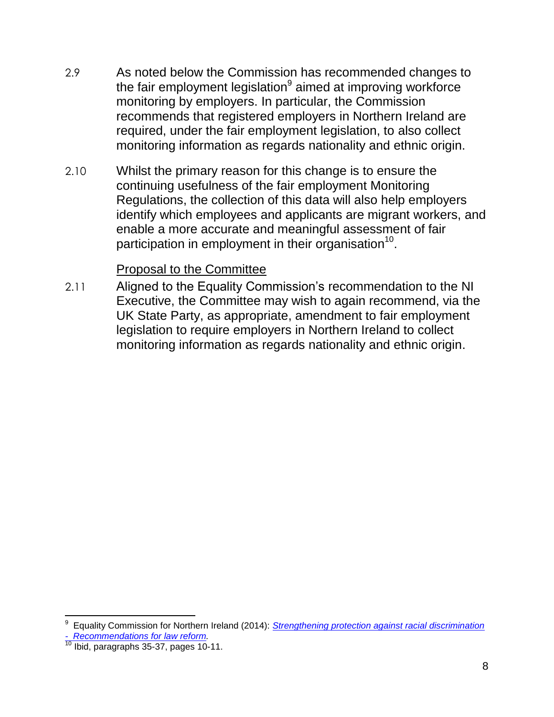- 2.9 As noted below the Commission has recommended changes to the fair employment legislation<sup>9</sup> aimed at improving workforce monitoring by employers. In particular, the Commission recommends that registered employers in Northern Ireland are required, under the fair employment legislation, to also collect monitoring information as regards nationality and ethnic origin.
- 2.10 Whilst the primary reason for this change is to ensure the continuing usefulness of the fair employment Monitoring Regulations, the collection of this data will also help employers identify which employees and applicants are migrant workers, and enable a more accurate and meaningful assessment of fair participation in employment in their organisation<sup>10</sup>.

#### Proposal to the Committee

2.11 Aligned to the Equality Commission's recommendation to the NI Executive, the Committee may wish to again recommend, via the UK State Party, as appropriate, amendment to fair employment legislation to require employers in Northern Ireland to collect monitoring information as regards nationality and ethnic origin.

 $\overline{\phantom{a}}$ 9 Equality Commission for Northern Ireland (2014): *[Strengthening protection against racial discrimination](http://www.equalityni.org/ECNI/media/ECNI/Publications/Delivering%20Equality/RaceLawReform-FullReport.pdf)  - [Recommendations for law reform.](http://www.equalityni.org/ECNI/media/ECNI/Publications/Delivering%20Equality/RaceLawReform-FullReport.pdf)*

 $10$  Ibid, paragraphs 35-37, pages 10-11.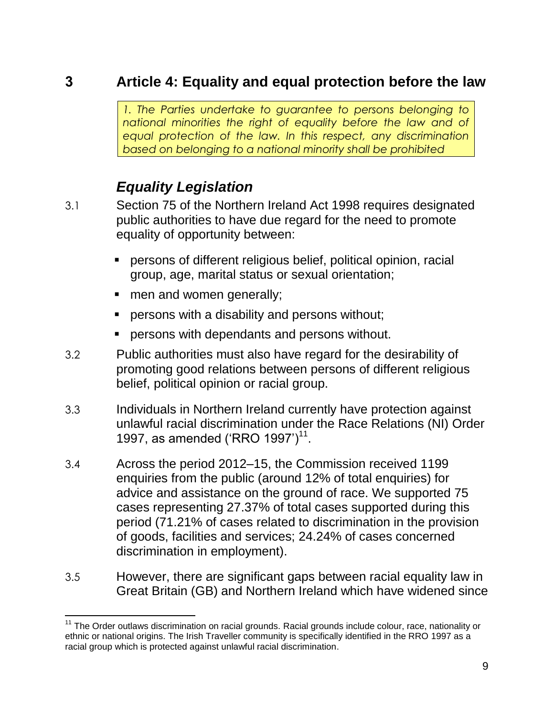### **3 Article 4: Equality and equal protection before the law**

*1. The Parties undertake to guarantee to persons belonging to national minorities the right of equality before the law and of equal protection of the law. In this respect, any discrimination based on belonging to a national minority shall be prohibited*

# *Equality Legislation*

- 3.1 Section 75 of the Northern Ireland Act 1998 requires designated public authorities to have due regard for the need to promote equality of opportunity between:
	- persons of different religious belief, political opinion, racial group, age, marital status or sexual orientation;
	- men and women generally;

- persons with a disability and persons without;
- persons with dependants and persons without.
- 3.2 Public authorities must also have regard for the desirability of promoting good relations between persons of different religious belief, political opinion or racial group.
- 3.3 Individuals in Northern Ireland currently have protection against unlawful racial discrimination under the Race Relations (NI) Order 1997, as amended ('RRO 1997')<sup>11</sup>.
- 3.4 Across the period 2012–15, the Commission received 1199 enquiries from the public (around 12% of total enquiries) for advice and assistance on the ground of race. We supported 75 cases representing 27.37% of total cases supported during this period (71.21% of cases related to discrimination in the provision of goods, facilities and services; 24.24% of cases concerned discrimination in employment).
- 3.5 However, there are significant gaps between racial equality law in Great Britain (GB) and Northern Ireland which have widened since

<sup>&</sup>lt;sup>11</sup> The Order outlaws discrimination on racial grounds. Racial grounds include colour, race, nationality or ethnic or national origins. The Irish Traveller community is specifically identified in the RRO 1997 as a racial group which is protected against unlawful racial discrimination.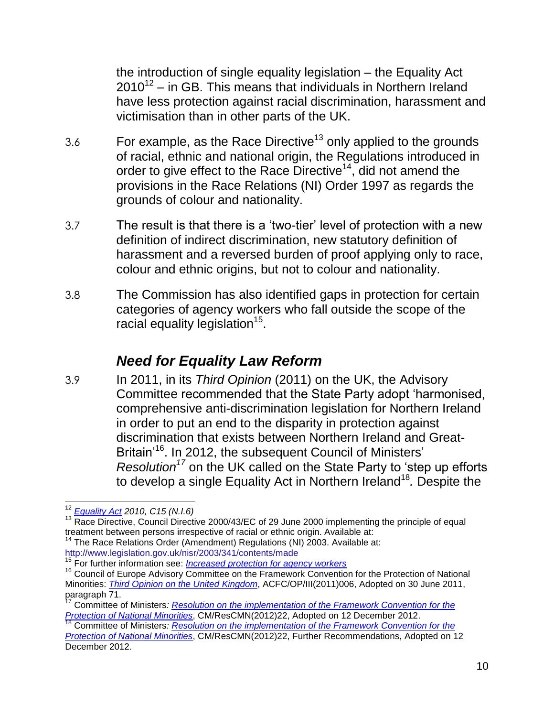the introduction of single equality legislation – the Equality Act  $2010^{12}$  – in GB. This means that individuals in Northern Ireland have less protection against racial discrimination, harassment and victimisation than in other parts of the UK.

- 3.6 For example, as the Race Directive<sup>13</sup> only applied to the grounds of racial, ethnic and national origin, the Regulations introduced in order to give effect to the Race Directive<sup>14</sup>, did not amend the provisions in the Race Relations (NI) Order 1997 as regards the grounds of colour and nationality.
- 3.7 The result is that there is a 'two-tier' level of protection with a new definition of indirect discrimination, new statutory definition of harassment and a reversed burden of proof applying only to race, colour and ethnic origins, but not to colour and nationality.
- 3.8 The Commission has also identified gaps in protection for certain categories of agency workers who fall outside the scope of the racial equality legislation $15$ .

### *Need for Equality Law Reform*

3.9 In 2011, in its *Third Opinion* (2011) on the UK, the Advisory Committee recommended that the State Party adopt 'harmonised, comprehensive anti-discrimination legislation for Northern Ireland in order to put an end to the disparity in protection against discrimination that exists between Northern Ireland and Great-Britain'<sup>16</sup>. In 2012, the subsequent Council of Ministers' *Resolution<sup>17</sup>* on the UK called on the State Party to 'step up efforts to develop a single Equality Act in Northern Ireland<sup>18</sup>. Despite the

<sup>15</sup> For further information see: *[Increased protection for agency workers](http://www.equalityni.org/Delivering-Equality/Addressing-inequality/Law-reform/Related-work/Race-forms-of-discrimination/agency-workers-(1))*

 $\overline{a}$ <sup>12</sup> *[Equality Act](http://www.legislation.gov.uk/ukpga/2010/15/contents) 2010, C15 (N.I.6)*

<sup>&</sup>lt;sup>13</sup> Race Directive, Council Directive 2000/43/EC of 29 June 2000 implementing the principle of equal treatment between persons irrespective of racial or ethnic origin. Available at:

<sup>&</sup>lt;sup>14</sup> The Race Relations Order (Amendment) Regulations (NI) 2003. Available at: <http://www.legislation.gov.uk/nisr/2003/341/contents/made>

<sup>&</sup>lt;sup>16</sup> Council of Europe Advisory Committee on the Framework Convention for the Protection of National Minorities: *[Third Opinion on the United Kingdom](https://www.coe.int/t/dghl/monitoring/minorities/3_FCNMdocs/PDF_3rd_OP_UK_en.pdf)*, ACFC/OP/III(2011)006, Adopted on 30 June 2011, paragraph  $\frac{11m}{71}$ .

<sup>17</sup> Committee of Ministers*: [Resolution on the implementation of the Framework Convention for the](https://wcd.coe.int/ViewDoc.jsp?id=2014967)  [Protection of National Minorities](https://wcd.coe.int/ViewDoc.jsp?id=2014967)*, CM/ResCMN(2012)22, Adopted on 12 December 2012.

<sup>18</sup> Committee of Ministers*: [Resolution on the implementation of the Framework Convention for the](https://wcd.coe.int/ViewDoc.jsp?id=2014967)  [Protection of National Minorities](https://wcd.coe.int/ViewDoc.jsp?id=2014967)*, CM/ResCMN(2012)22, Further Recommendations, Adopted on 12 December 2012.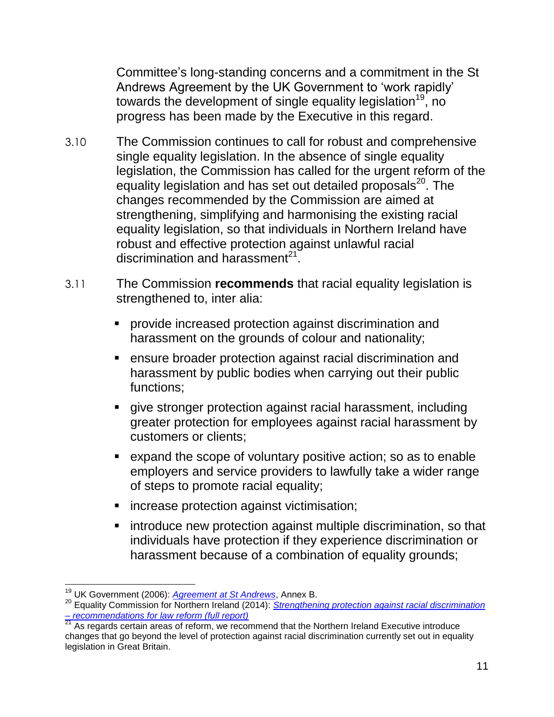Committee's long-standing concerns and a commitment in the St Andrews Agreement by the UK Government to 'work rapidly' towards the development of single equality legislation<sup>19</sup>, no progress has been made by the Executive in this regard.

- 3.10 The Commission continues to call for robust and comprehensive single equality legislation. In the absence of single equality legislation, the Commission has called for the urgent reform of the equality legislation and has set out detailed proposals<sup>20</sup>. The changes recommended by the Commission are aimed at strengthening, simplifying and harmonising the existing racial equality legislation, so that individuals in Northern Ireland have robust and effective protection against unlawful racial discrimination and harassment $^{21}$ .
- 3.11 The Commission **recommends** that racial equality legislation is strengthened to, inter alia:
	- provide increased protection against discrimination and harassment on the grounds of colour and nationality;
	- ensure broader protection against racial discrimination and harassment by public bodies when carrying out their public functions;
	- give stronger protection against racial harassment, including greater protection for employees against racial harassment by customers or clients;
	- expand the scope of voluntary positive action; so as to enable employers and service providers to lawfully take a wider range of steps to promote racial equality;
	- **increase protection against victimisation;**
	- **EXTERN** introduce new protection against multiple discrimination, so that individuals have protection if they experience discrimination or harassment because of a combination of equality grounds;

 $\overline{a}$ <sup>19</sup> UK Government (2006): *[Agreement at St Andrews](https://www.gov.uk/government/uploads/system/uploads/attachment_data/file/136651/st_andrews_agreement-2.pdf)*, Annex B.

<sup>&</sup>lt;sup>20</sup> Equality Commission for Northern Ireland (2014): *Strengthening protection against racial discrimination – [recommendations for law reform \(full report\)](http://www.equalityni.org/ECNI/media/ECNI/Publications/Delivering%20Equality/RaceLawReform-FullReport.pdf)*

**<sup>21</sup> As regards certain areas of reform, we recommend that the Northern Ireland Executive introduce** changes that go beyond the level of protection against racial discrimination currently set out in equality legislation in Great Britain.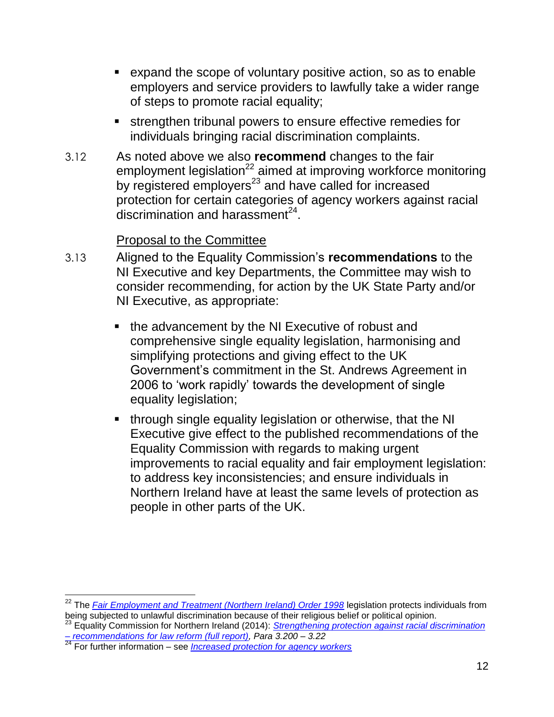- expand the scope of voluntary positive action, so as to enable employers and service providers to lawfully take a wider range of steps to promote racial equality;
- strengthen tribunal powers to ensure effective remedies for individuals bringing racial discrimination complaints.
- 3.12 As noted above we also **recommend** changes to the fair employment legislation $^{22}$  aimed at improving workforce monitoring by registered employers<sup>23</sup> and have called for increased protection for certain categories of agency workers against racial discrimination and harassment $^{24}$ .

#### Proposal to the Committee

- 3.13 Aligned to the Equality Commission's **recommendations** to the NI Executive and key Departments, the Committee may wish to consider recommending, for action by the UK State Party and/or NI Executive, as appropriate:
	- the advancement by the NI Executive of robust and comprehensive single equality legislation, harmonising and simplifying protections and giving effect to the UK Government's commitment in the St. Andrews Agreement in 2006 to 'work rapidly' towards the development of single equality legislation;
	- **through single equality legislation or otherwise, that the NI** Executive give effect to the published recommendations of the Equality Commission with regards to making urgent improvements to racial equality and fair employment legislation: to address key inconsistencies; and ensure individuals in Northern Ireland have at least the same levels of protection as people in other parts of the UK.

<sup>&</sup>lt;sup>22</sup> The *<u>[Fair Employment and Treatment \(Northern Ireland\) Order 1998](http://www.legislation.gov.uk/nisi/1998/3162/contents/made)</u> legislation protects individuals from* being subjected to unlawful discrimination because of their religious belief or political opinion.

<sup>23</sup> Equality Commission for Northern Ireland (2014): *[Strengthening protection against racial discrimination](http://www.equalityni.org/ECNI/media/ECNI/Publications/Delivering%20Equality/RaceLawReform-FullReport.pdf)  – [recommendations for law reform \(full report\),](http://www.equalityni.org/ECNI/media/ECNI/Publications/Delivering%20Equality/RaceLawReform-FullReport.pdf) Para 3.200 – 3.22*

<sup>24</sup> For further information – see *[Increased protection for agency workers](http://www.equalityni.org/Delivering-Equality/Addressing-inequality/Law-reform/Related-work/Race-forms-of-discrimination/agency-workers-(1))*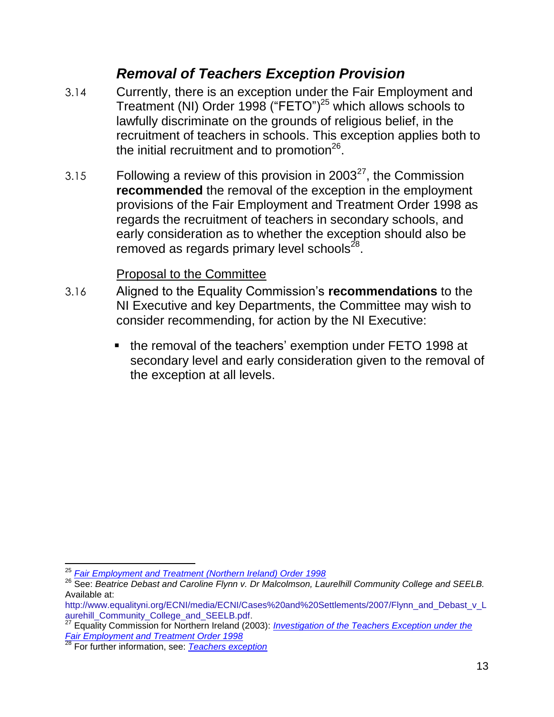### *Removal of Teachers Exception Provision*

- 3.14 Currently, there is an exception under the Fair Employment and Treatment (NI) Order 1998 ("FETO")<sup>25</sup> which allows schools to lawfully discriminate on the grounds of religious belief, in the recruitment of teachers in schools. This exception applies both to the initial recruitment and to promotion<sup>26</sup>.
- 3.15 Following a review of this provision in 2003<sup>27</sup>, the Commission **recommended** the removal of the exception in the employment provisions of the Fair Employment and Treatment Order 1998 as regards the recruitment of teachers in secondary schools, and early consideration as to whether the exception should also be removed as regards primary level schools $^{28}$ .

#### Proposal to the Committee

- 3.16 Aligned to the Equality Commission's **recommendations** to the NI Executive and key Departments, the Committee may wish to consider recommending, for action by the NI Executive:
	- the removal of the teachers' exemption under FETO 1998 at secondary level and early consideration given to the removal of the exception at all levels.

 $\overline{a}$ <sup>25</sup> *[Fair Employment and Treatment \(Northern Ireland\) Order 1998](http://www.legislation.gov.uk/nisi/1998/3162/contents/made)*

<sup>26</sup> See: *Beatrice Debast and Caroline Flynn v. Dr Malcolmson, Laurelhill Community College and SEELB.*  Available at:

[http://www.equalityni.org/ECNI/media/ECNI/Cases%20and%20Settlements/2007/Flynn\\_and\\_Debast\\_v\\_L](http://www.equalityni.org/ECNI/media/ECNI/Cases%20and%20Settlements/2007/Flynn_and_Debast_v_Laurehill_Community_College_and_SEELB.pdf) [aurehill\\_Community\\_College\\_and\\_SEELB.pdf.](http://www.equalityni.org/ECNI/media/ECNI/Cases%20and%20Settlements/2007/Flynn_and_Debast_v_Laurehill_Community_College_and_SEELB.pdf)

<sup>27</sup> Equality Commission for Northern Ireland (2003): *[Investigation of the Teachers Exception under the](http://www.google.co.uk/url?url=http://www.equalityni.org/ECNI/media/ECNI/Publications/Delivering%2520Equality/FETOTeacherExceptionInvestigation2003.pdf&rct=j&frm=1&q=&esrc=s&sa=U&ved=0CBkQFjABahUKEwjHuLGeyobJAhWCj5AKHQBTD2o&sig2=aG0eKaw8G3nSatF0wOyvRw&usg=AFQjCNHya32vYncudanG5794QDwdmRlhrQ)  [Fair Employment and Treatment Order 1998](http://www.google.co.uk/url?url=http://www.equalityni.org/ECNI/media/ECNI/Publications/Delivering%2520Equality/FETOTeacherExceptionInvestigation2003.pdf&rct=j&frm=1&q=&esrc=s&sa=U&ved=0CBkQFjABahUKEwjHuLGeyobJAhWCj5AKHQBTD2o&sig2=aG0eKaw8G3nSatF0wOyvRw&usg=AFQjCNHya32vYncudanG5794QDwdmRlhrQ)*

<sup>28</sup> For further information, see: *[Teachers exception](http://www.equalityni.org/Delivering-Equality/Addressing-inequality/Law-reform/Related-links/Teachers-exception-(1))*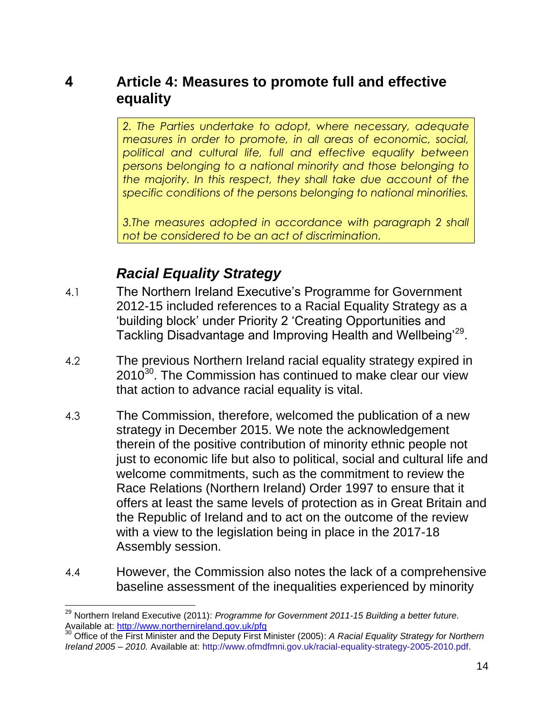#### **4 Article 4: Measures to promote full and effective equality**

*2. The Parties undertake to adopt, where necessary, adequate measures in order to promote, in all areas of economic, social, political and cultural life, full and effective equality between persons belonging to a national minority and those belonging to the majority. In this respect, they shall take due account of the specific conditions of the persons belonging to national minorities.*

*3.The measures adopted in accordance with paragraph 2 shall not be considered to be an act of discrimination.*

## *Racial Equality Strategy*

 $\overline{a}$ 

- 4.1 The Northern Ireland Executive's Programme for Government 2012-15 included references to a Racial Equality Strategy as a 'building block' under Priority 2 'Creating Opportunities and Tackling Disadvantage and Improving Health and Wellbeing'<sup>29</sup>.
- 4.2 The previous Northern Ireland racial equality strategy expired in  $2010^{30}$ . The Commission has continued to make clear our view that action to advance racial equality is vital.
- 4.3 The Commission, therefore, welcomed the publication of a new strategy in December 2015. We note the acknowledgement therein of the positive contribution of minority ethnic people not just to economic life but also to political, social and cultural life and welcome commitments, such as the commitment to review the Race Relations (Northern Ireland) Order 1997 to ensure that it offers at least the same levels of protection as in Great Britain and the Republic of Ireland and to act on the outcome of the review with a view to the legislation being in place in the 2017-18 Assembly session.
- 4.4 However, the Commission also notes the lack of a comprehensive baseline assessment of the inequalities experienced by minority

<sup>30</sup> Office of the First Minister and the Deputy First Minister (2005): *A Racial Equality Strategy for Northern Ireland 2005 – 2010.* Available at: [http://www.ofmdfmni.gov.uk/racial-equality-strategy-2005-2010.pdf.](http://www.ofmdfmni.gov.uk/racial-equality-strategy-2005-2010.pdf)

<sup>29</sup> Northern Ireland Executive (2011): *Programme for Government 2011-15 Building a better future.*  Available at:<http://www.northernireland.gov.uk/pfg>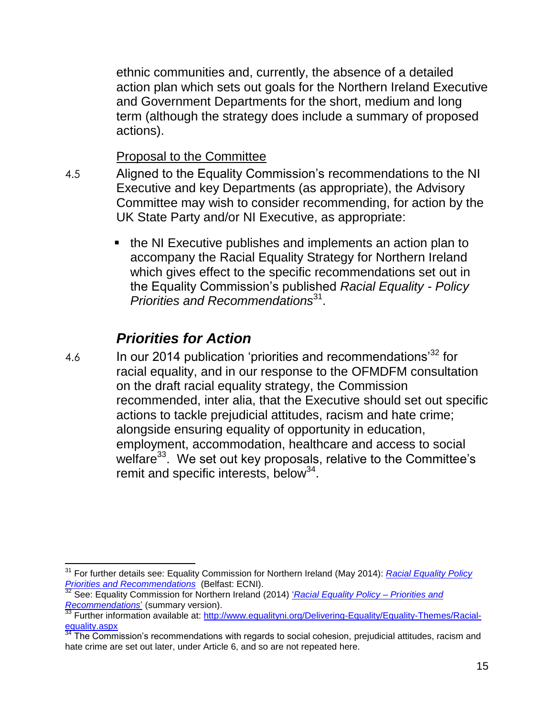ethnic communities and, currently, the absence of a detailed action plan which sets out goals for the Northern Ireland Executive and Government Departments for the short, medium and long term (although the strategy does include a summary of proposed actions).

Proposal to the Committee

- 4.5 Aligned to the Equality Commission's recommendations to the NI Executive and key Departments (as appropriate), the Advisory Committee may wish to consider recommending, for action by the UK State Party and/or NI Executive, as appropriate:
	- the NI Executive publishes and implements an action plan to accompany the Racial Equality Strategy for Northern Ireland which gives effect to the specific recommendations set out in the Equality Commission's published *Racial Equality - Policy Priorities and Recommendations*<sup>31</sup> .

# *Priorities for Action*

4.6 In our 2014 publication 'priorities and recommendations<sup>32</sup> for racial equality, and in our response to the OFMDFM consultation on the draft racial equality strategy, the Commission recommended, inter alia, that the Executive should set out specific actions to tackle prejudicial attitudes, racism and hate crime; alongside ensuring equality of opportunity in education, employment, accommodation, healthcare and access to social welfare $^{33}$ . We set out key proposals, relative to the Committee's remit and specific interests, below<sup>34</sup>.

 $\overline{a}$ <sup>31</sup> For further details see: Equality Commission for Northern Ireland (May 2014): *[Racial Equality Policy](file://equality.local/root/Data1/PUBLIC%20POLICY/Projects/Racial%20Equality%20Policy/ECRI/ECRI_2015/ECRIResponse2015/ShortDraftResponsetoECRI_V0f_19%2010%2015_draftfinal_ECDMcK.docx)  [Priorities and Recommendations](file://equality.local/root/Data1/PUBLIC%20POLICY/Projects/Racial%20Equality%20Policy/ECRI/ECRI_2015/ECRIResponse2015/ShortDraftResponsetoECRI_V0f_19%2010%2015_draftfinal_ECDMcK.docx)* (Belfast: ECNI).

<sup>32</sup> See: Equality Commission for Northern Ireland (2014) '*[Racial Equality Policy –](http://www.equalityni.org/ECNI/media/ECNI/Publications/Delivering%20Equality/RacialEquality_PolicySummary2014.pdf) Priorities and [Recommendations](http://www.equalityni.org/ECNI/media/ECNI/Publications/Delivering%20Equality/RacialEquality_PolicySummary2014.pdf)*' (summary version).

Further information available at: [http://www.equalityni.org/Delivering-Equality/Equality-Themes/Racial](http://www.equalityni.org/Delivering-Equality/Equality-Themes/Racial-equality.aspx)[equality.aspx](http://www.equalityni.org/Delivering-Equality/Equality-Themes/Racial-equality.aspx)

The Commission's recommendations with regards to social cohesion, prejudicial attitudes, racism and hate crime are set out later, under Article 6, and so are not repeated here.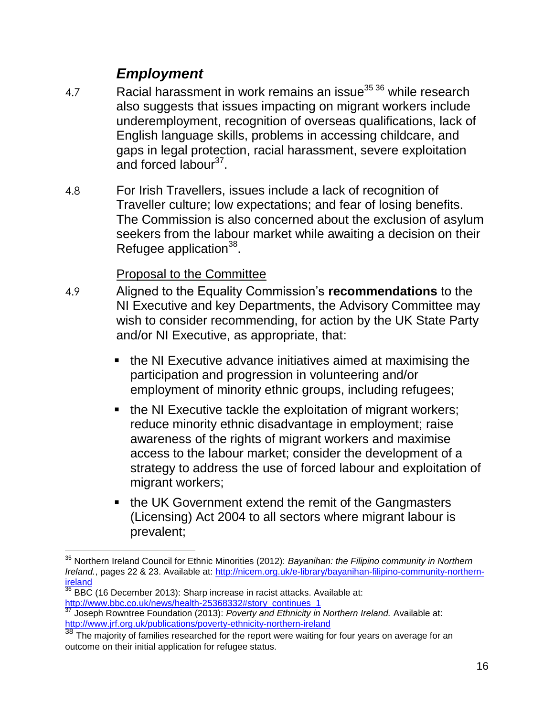### *Employment*

- 4.7 Racial harassment in work remains an issue $^{35\,36}$  while research also suggests that issues impacting on migrant workers include underemployment, recognition of overseas qualifications, lack of English language skills, problems in accessing childcare, and gaps in legal protection, racial harassment, severe exploitation and forced labour<sup>37</sup>.
- 4.8 For Irish Travellers, issues include a lack of recognition of Traveller culture; low expectations; and fear of losing benefits. The Commission is also concerned about the exclusion of asylum seekers from the labour market while awaiting a decision on their Refugee application<sup>38</sup>.

#### Proposal to the Committee

- 4.9 Aligned to the Equality Commission's **recommendations** to the NI Executive and key Departments, the Advisory Committee may wish to consider recommending, for action by the UK State Party and/or NI Executive, as appropriate, that:
	- the NI Executive advance initiatives aimed at maximising the participation and progression in volunteering and/or employment of minority ethnic groups, including refugees;
	- the NI Executive tackle the exploitation of migrant workers; reduce minority ethnic disadvantage in employment; raise awareness of the rights of migrant workers and maximise access to the labour market; consider the development of a strategy to address the use of forced labour and exploitation of migrant workers;
	- the UK Government extend the remit of the Gangmasters (Licensing) Act 2004 to all sectors where migrant labour is prevalent;

 $\overline{a}$ <sup>35</sup> Northern Ireland Council for Ethnic Minorities (2012): *Bayanihan: the Filipino community in Northern Ireland.*, pages 22 & 23. Available at: [http://nicem.org.uk/e-library/bayanihan-filipino-community-northern](http://nicem.org.uk/e-library/bayanihan-filipino-community-northern-ireland)[ireland](http://nicem.org.uk/e-library/bayanihan-filipino-community-northern-ireland)

 $36$  BBC (16 December 2013): Sharp increase in racist attacks. Available at: [http://www.bbc.co.uk/news/health-25368332#story\\_continues\\_1](http://www.bbc.co.uk/news/health-25368332#story_continues_1)

<sup>37</sup> Joseph Rowntree Foundation (2013): *Poverty and Ethnicity in Northern Ireland.* Available at: <http://www.jrf.org.uk/publications/poverty-ethnicity-northern-ireland>

<sup>38</sup> The majority of families researched for the report were waiting for four years on average for an outcome on their initial application for refugee status.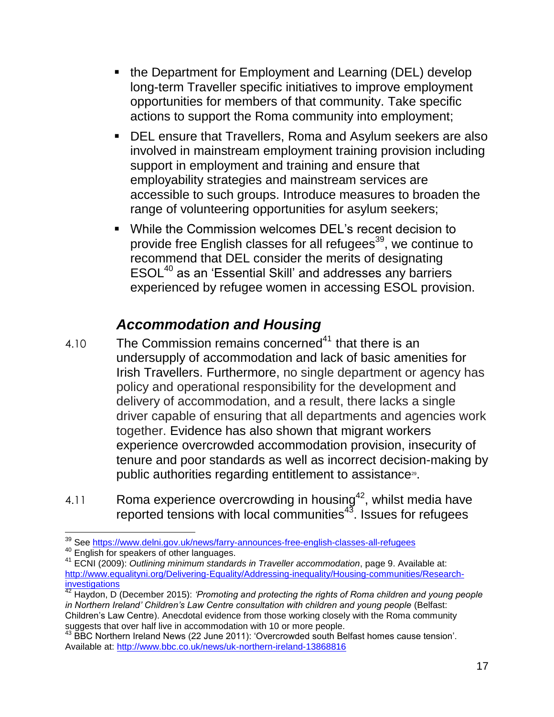- the Department for Employment and Learning (DEL) develop long-term Traveller specific initiatives to improve employment opportunities for members of that community. Take specific actions to support the Roma community into employment;
- DEL ensure that Travellers, Roma and Asylum seekers are also involved in mainstream employment training provision including support in employment and training and ensure that employability strategies and mainstream services are accessible to such groups. Introduce measures to broaden the range of volunteering opportunities for asylum seekers;
- While the Commission welcomes DEL's recent decision to provide free English classes for all refugees<sup>39</sup>, we continue to recommend that DEL consider the merits of designating ESOL<sup>40</sup> as an 'Essential Skill' and addresses any barriers experienced by refugee women in accessing ESOL provision.

# *Accommodation and Housing*

- 4.10 The Commission remains concerned $41$  that there is an undersupply of accommodation and lack of basic amenities for Irish Travellers. Furthermore, no single department or agency has policy and operational responsibility for the development and delivery of accommodation, and a result, there lacks a single driver capable of ensuring that all departments and agencies work together. Evidence has also shown that migrant workers experience overcrowded accommodation provision, insecurity of tenure and poor standards as well as incorrect decision-making by public authorities regarding entitlement to assistance<sup>®</sup>.
- 4.11 Roma experience overcrowding in housing<sup>42</sup>, whilst media have reported tensions with local communities<sup>43</sup>. Issues for refugees

 $\overline{a}$ <sup>39</sup> See<https://www.delni.gov.uk/news/farry-announces-free-english-classes-all-refugees>

<sup>40</sup> English for speakers of other languages.

<sup>41</sup> ECNI (2009): *Outlining minimum standards in Traveller accommodation*, page 9. Available at: [http://www.equalityni.org/Delivering-Equality/Addressing-inequality/Housing-communities/Research](http://www.equalityni.org/Delivering-Equality/Addressing-inequality/Housing-communities/Research-investigations)**[investigations](http://www.equalityni.org/Delivering-Equality/Addressing-inequality/Housing-communities/Research-investigations)** 

<sup>42</sup> Haydon, D (December 2015): *'Promoting and protecting the rights of Roma children and young people*  in Northern Ireland' Children's Law Centre consultation with children and young people (Belfast: Children's Law Centre). Anecdotal evidence from those working closely with the Roma community suggests that over half live in accommodation with 10 or more people.

 $43$  BBC Northern Ireland News (22 June 2011): 'Overcrowded south Belfast homes cause tension'. Available at:<http://www.bbc.co.uk/news/uk-northern-ireland-13868816>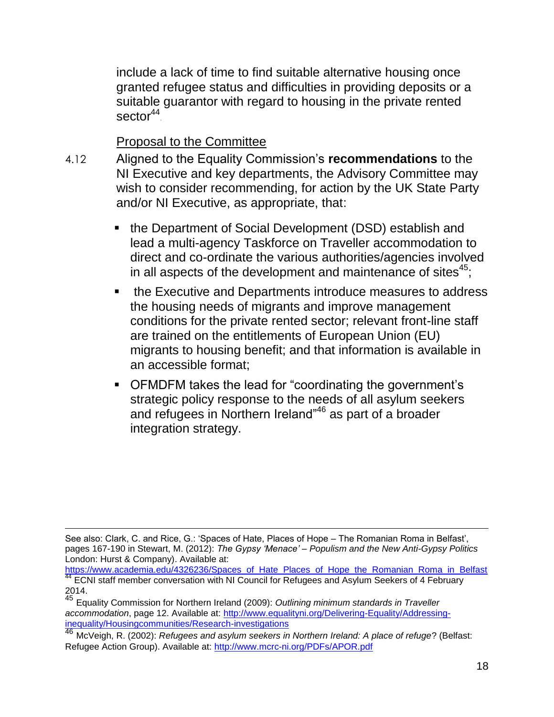include a lack of time to find suitable alternative housing once granted refugee status and difficulties in providing deposits or a suitable guarantor with regard to housing in the private rented sector<sup>44</sup>.

Proposal to the Committee

- 4.12 Aligned to the Equality Commission's **recommendations** to the NI Executive and key departments, the Advisory Committee may wish to consider recommending, for action by the UK State Party and/or NI Executive, as appropriate, that:
	- the Department of Social Development (DSD) establish and lead a multi-agency Taskforce on Traveller accommodation to direct and co-ordinate the various authorities/agencies involved in all aspects of the development and maintenance of sites $45$ ;
	- **the Executive and Departments introduce measures to address** the housing needs of migrants and improve management conditions for the private rented sector; relevant front-line staff are trained on the entitlements of European Union (EU) migrants to housing benefit; and that information is available in an accessible format;
	- OFMDFM takes the lead for "coordinating the government's strategic policy response to the needs of all asylum seekers and refugees in Northern Ireland"<sup>46</sup> as part of a broader integration strategy.

See also: Clark, C. and Rice, G.: 'Spaces of Hate, Places of Hope – The Romanian Roma in Belfast', pages 167-190 in Stewart, M. (2012): *The Gypsy 'Menace' – Populism and the New Anti-Gypsy Politics* London: Hurst & Company). Available at:

[https://www.academia.edu/4326236/Spaces\\_of\\_Hate\\_Places\\_of\\_Hope\\_the\\_Romanian\\_Roma\\_in\\_Belfast](https://www.academia.edu/4326236/Spaces_of_Hate_Places_of_Hope_the_Romanian_Roma_in_Belfast) ECNI staff member conversation with NI Council for Refugees and Asylum Seekers of 4 February 2014.

<sup>45</sup> Equality Commission for Northern Ireland (2009): *Outlining minimum standards in Traveller accommodation*, page 12. Available at: [http://www.equalityni.org/Delivering-Equality/Addressing](http://www.equalityni.org/Delivering-Equality/Addressing-inequality/Housingcommunities/Research-investigations)[inequality/Housingcommunities/Research-investigations](http://www.equalityni.org/Delivering-Equality/Addressing-inequality/Housingcommunities/Research-investigations)

<sup>46</sup> McVeigh, R. (2002): *Refugees and asylum seekers in Northern Ireland: A place of refuge*? (Belfast: Refugee Action Group). Available at:<http://www.mcrc-ni.org/PDFs/APOR.pdf>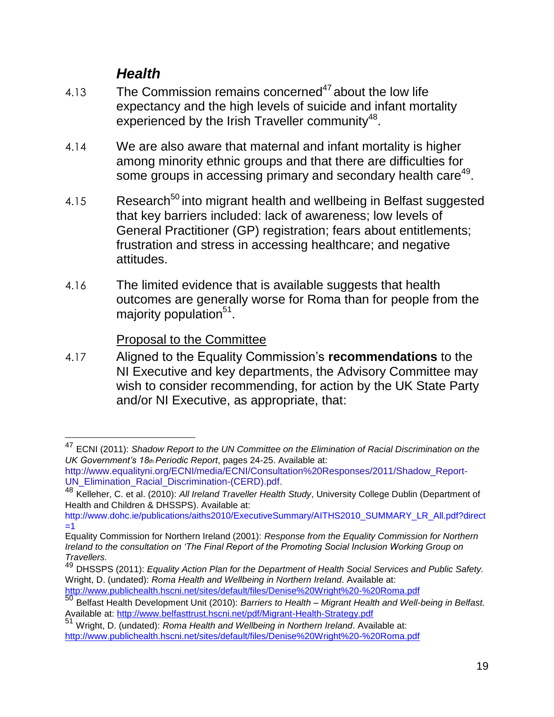### *Health*

- 4.13 The Commission remains concerned<sup>47</sup> about the low life expectancy and the high levels of suicide and infant mortality experienced by the Irish Traveller community $48$ .
- 4.14 We are also aware that maternal and infant mortality is higher among minority ethnic groups and that there are difficulties for some groups in accessing primary and secondary health care<sup>49</sup>.
- 4.15 Research<sup>50</sup> into migrant health and wellbeing in Belfast suggested that key barriers included: lack of awareness; low levels of General Practitioner (GP) registration; fears about entitlements; frustration and stress in accessing healthcare; and negative attitudes.
- 4.16 The limited evidence that is available suggests that health outcomes are generally worse for Roma than for people from the majority population<sup>51</sup>.

Proposal to the Committee

 $\overline{a}$ 

4.17 Aligned to the Equality Commission's **recommendations** to the NI Executive and key departments, the Advisory Committee may wish to consider recommending, for action by the UK State Party and/or NI Executive, as appropriate, that:

<sup>47</sup> ECNI (2011): *Shadow Report to the UN Committee on the Elimination of Racial Discrimination on the UK Government's 18th Periodic Report*, pages 24-25. Available at:

[http://www.equalityni.org/ECNI/media/ECNI/Consultation%20Responses/2011/Shadow\\_Report-](http://www.equalityni.org/ECNI/media/ECNI/Consultation%20Responses/2011/Shadow_Report-UN_Elimination_Racial_Discrimination-(CERD).pdf)[UN\\_Elimination\\_Racial\\_Discrimination-\(CERD\).pdf.](http://www.equalityni.org/ECNI/media/ECNI/Consultation%20Responses/2011/Shadow_Report-UN_Elimination_Racial_Discrimination-(CERD).pdf)

<sup>48</sup> Kelleher, C. et al. (2010): *All Ireland Traveller Health Study*, University College Dublin (Department of Health and Children & DHSSPS). Available at:

http://www.dohc.ie/publications/aiths2010/ExecutiveSummary/AITHS2010\_SUMMARY\_LR\_All.pdf?direct  $=1$ 

Equality Commission for Northern Ireland (2001): *Response from the Equality Commission for Northern Ireland to the consultation on 'The Final Report of the Promoting Social Inclusion Working Group on Travellers.*

<sup>49</sup> DHSSPS (2011): *Equality Action Plan for the Department of Health Social Services and Public Safety.* Wright, D. (undated): *Roma Health and Wellbeing in Northern Ireland*. Available at: <http://www.publichealth.hscni.net/sites/default/files/Denise%20Wright%20-%20Roma.pdf>

<sup>50</sup> Belfast Health Development Unit (2010): *Barriers to Health – Migrant Health and Well-being in Belfast.* Available at:<http://www.belfasttrust.hscni.net/pdf/Migrant-Health-Strategy.pdf>

<sup>51</sup> Wright, D. (undated): *Roma Health and Wellbeing in Northern Ireland*. Available at: <http://www.publichealth.hscni.net/sites/default/files/Denise%20Wright%20-%20Roma.pdf>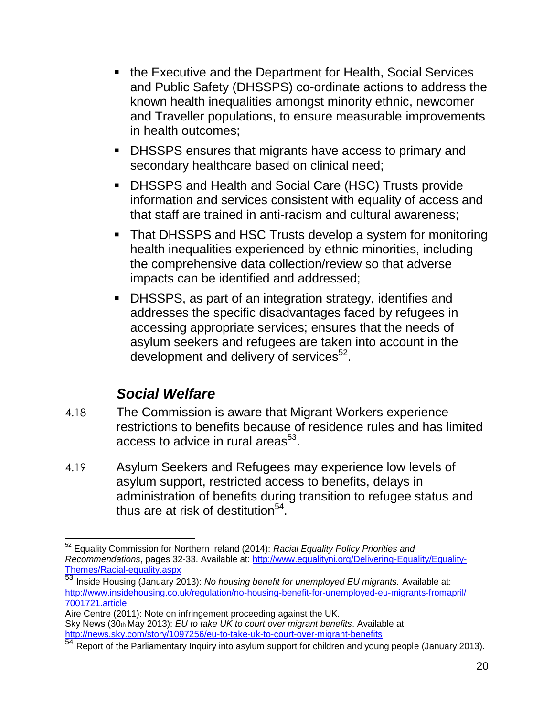- the Executive and the Department for Health, Social Services and Public Safety (DHSSPS) co-ordinate actions to address the known health inequalities amongst minority ethnic, newcomer and Traveller populations, to ensure measurable improvements in health outcomes;
- DHSSPS ensures that migrants have access to primary and secondary healthcare based on clinical need;
- DHSSPS and Health and Social Care (HSC) Trusts provide information and services consistent with equality of access and that staff are trained in anti-racism and cultural awareness;
- That DHSSPS and HSC Trusts develop a system for monitoring health inequalities experienced by ethnic minorities, including the comprehensive data collection/review so that adverse impacts can be identified and addressed;
- DHSSPS, as part of an integration strategy, identifies and addresses the specific disadvantages faced by refugees in accessing appropriate services; ensures that the needs of asylum seekers and refugees are taken into account in the development and delivery of services $52$ .

## *Social Welfare*

- 4.18 The Commission is aware that Migrant Workers experience restrictions to benefits because of residence rules and has limited access to advice in rural areas $^{53}$ .
- 4.19 Asylum Seekers and Refugees may experience low levels of asylum support, restricted access to benefits, delays in administration of benefits during transition to refugee status and thus are at risk of destitution $54$ .

 $\overline{a}$ <sup>52</sup> Equality Commission for Northern Ireland (2014): *Racial Equality Policy Priorities and Recommendations*, pages 32-33. Available at: [http://www.equalityni.org/Delivering-Equality/Equality-](http://www.equalityni.org/Delivering-Equality/Equality-Themes/Racial-equality.aspx)[Themes/Racial-equality.aspx](http://www.equalityni.org/Delivering-Equality/Equality-Themes/Racial-equality.aspx)

<sup>53</sup> Inside Housing (January 2013): *No housing benefit for unemployed EU migrants.* Available at: http://www.insidehousing.co.uk/regulation/no-housing-benefit-for-unemployed-eu-migrants-fromapril/ 7001721.article

Aire Centre (2011): Note on infringement proceeding against the UK. Sky News (30th May 2013): *EU to take UK to court over migrant benefits*. Available at <http://news.sky.com/story/1097256/eu-to-take-uk-to-court-over-migrant-benefits>

<sup>54</sup> Report of the Parliamentary Inquiry into asylum support for children and young people (January 2013).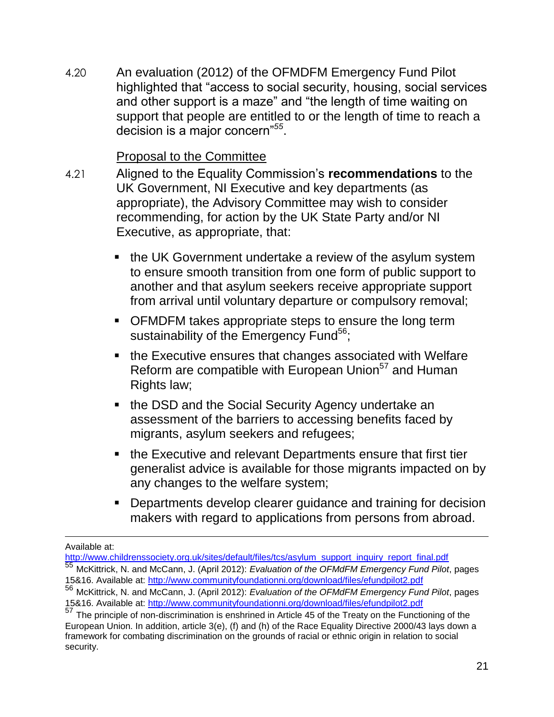4.20 An evaluation (2012) of the OFMDFM Emergency Fund Pilot highlighted that "access to social security, housing, social services and other support is a maze" and "the length of time waiting on support that people are entitled to or the length of time to reach a decision is a major concern"*<sup>55</sup>* .

#### Proposal to the Committee

- 4.21 Aligned to the Equality Commission's **recommendations** to the UK Government, NI Executive and key departments (as appropriate), the Advisory Committee may wish to consider recommending, for action by the UK State Party and/or NI Executive, as appropriate, that:
	- the UK Government undertake a review of the asylum system to ensure smooth transition from one form of public support to another and that asylum seekers receive appropriate support from arrival until voluntary departure or compulsory removal;
	- OFMDFM takes appropriate steps to ensure the long term sustainability of the Emergency Fund<sup>56</sup>;
	- the Executive ensures that changes associated with Welfare Reform are compatible with European Union<sup>57</sup> and Human Rights law;
	- the DSD and the Social Security Agency undertake an assessment of the barriers to accessing benefits faced by migrants, asylum seekers and refugees;
	- the Executive and relevant Departments ensure that first tier generalist advice is available for those migrants impacted on by any changes to the welfare system;
	- **Departments develop clearer quidance and training for decision** makers with regard to applications from persons from abroad.

Available at:

[http://www.childrenssociety.org.uk/sites/default/files/tcs/asylum\\_support\\_inquiry\\_report\\_final.pdf](http://www.childrenssociety.org.uk/sites/default/files/tcs/asylum_support_inquiry_report_final.pdf)

<sup>55</sup> McKittrick, N. and McCann, J. (April 2012): *Evaluation of the OFMdFM Emergency Fund Pilot*, pages 15&16. Available at:<http://www.communityfoundationni.org/download/files/efundpilot2.pdf>

<sup>56</sup> McKittrick, N. and McCann, J. (April 2012): *Evaluation of the OFMdFM Emergency Fund Pilot*, pages 15&16. Available at:<http://www.communityfoundationni.org/download/files/efundpilot2.pdf>

<sup>57</sup> The principle of non-discrimination is enshrined in Article 45 of the Treaty on the Functioning of the European Union. In addition, article 3(e), (f) and (h) of the Race Equality Directive 2000/43 lays down a framework for combating discrimination on the grounds of racial or ethnic origin in relation to social security.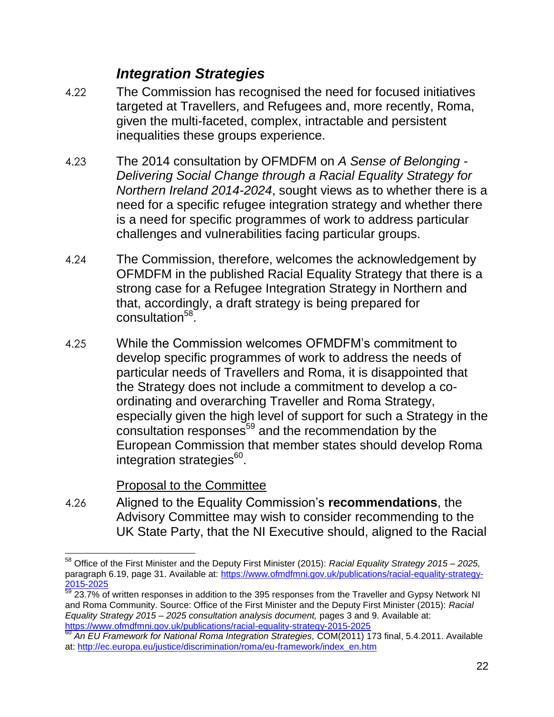### *Integration Strategies*

- 4.22 The Commission has recognised the need for focused initiatives targeted at Travellers, and Refugees and, more recently, Roma, given the multi-faceted, complex, intractable and persistent inequalities these groups experience.
- 4.23 The 2014 consultation by OFMDFM on *A Sense of Belonging - Delivering Social Change through a Racial Equality Strategy for Northern Ireland 2014-2024*, sought views as to whether there is a need for a specific refugee integration strategy and whether there is a need for specific programmes of work to address particular challenges and vulnerabilities facing particular groups.
- 4.24 The Commission, therefore, welcomes the acknowledgement by OFMDFM in the published Racial Equality Strategy that there is a strong case for a Refugee Integration Strategy in Northern and that, accordingly, a draft strategy is being prepared for consultation<sup>58</sup>.
- 4.25 While the Commission welcomes OFMDFM's commitment to develop specific programmes of work to address the needs of particular needs of Travellers and Roma, it is disappointed that the Strategy does not include a commitment to develop a coordinating and overarching Traveller and Roma Strategy, especially given the high level of support for such a Strategy in the consultation responses<sup>59</sup> and the recommendation by the European Commission that member states should develop Roma integration strategies<sup>60</sup>.

#### Proposal to the Committee

4.26 Aligned to the Equality Commission's **recommendations**, the Advisory Committee may wish to consider recommending to the UK State Party, that the NI Executive should, aligned to the Racial

 $\overline{a}$ <sup>58</sup> Office of the First Minister and the Deputy First Minister (2015): *Racial Equality Strategy 2015 – 2025,*  paragraph 6.19, page 31. Available at: [https://www.ofmdfmni.gov.uk/publications/racial-equality-strategy-](https://www.ofmdfmni.gov.uk/publications/racial-equality-strategy-2015-2025)[2015-2025](https://www.ofmdfmni.gov.uk/publications/racial-equality-strategy-2015-2025)

 $\frac{59}{23.7\%}$  of written responses in addition to the 395 responses from the Traveller and Gypsy Network NI and Roma Community. Source: Office of the First Minister and the Deputy First Minister (2015): *Racial Equality Strategy 2015 – 2025 consultation analysis document,* pages 3 and 9. Available at: <https://www.ofmdfmni.gov.uk/publications/racial-equality-strategy-2015-2025>

<sup>60</sup> *An EU Framework for National Roma Integration Strategies,* COM(2011) 173 final, 5.4.2011. Available at: [http://ec.europa.eu/justice/discrimination/roma/eu-framework/index\\_en.htm](http://ec.europa.eu/justice/discrimination/roma/eu-framework/index_en.htm)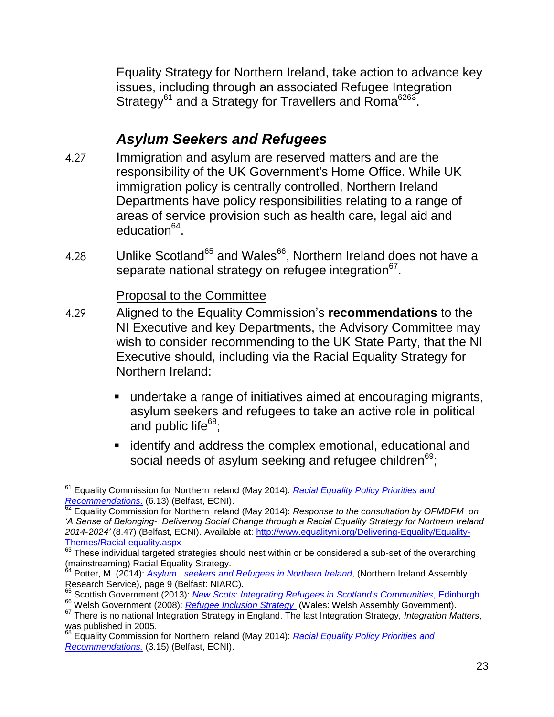Equality Strategy for Northern Ireland, take action to advance key issues, including through an associated Refugee Integration Strategy<sup>61</sup> and a Strategy for Travellers and Roma<sup>6263</sup>.

## *Asylum Seekers and Refugees*

- 4.27 Immigration and asylum are reserved matters and are the responsibility of the UK Government's Home Office. While UK immigration policy is centrally controlled, Northern Ireland Departments have policy responsibilities relating to a range of areas of service provision such as health care, legal aid and education<sup>64</sup>.
- 4.28 Unlike Scotland<sup>65</sup> and Wales<sup>66</sup>, Northern Ireland does not have a separate national strategy on refugee integration $67$ .

#### Proposal to the Committee

- 4.29 Aligned to the Equality Commission's **recommendations** to the NI Executive and key Departments, the Advisory Committee may wish to consider recommending to the UK State Party, that the NI Executive should, including via the Racial Equality Strategy for Northern Ireland:
	- undertake a range of initiatives aimed at encouraging migrants, asylum seekers and refugees to take an active role in political and public life<sup>68</sup>;
	- **EXEDEE** identify and address the complex emotional, educational and social needs of asylum seeking and refugee children<sup>69</sup>;

 $\overline{a}$ <sup>61</sup> Equality Commission for Northern Ireland (May 2014): *[Racial Equality Policy Priorities and](http://www.google.co.uk/url?url=http://www.equalityni.org/Delivering-Equality/Equality-Themes/Racial-equality.aspx&rct=j&frm=1&q=&esrc=s&sa=U&ved=0CBQQFjAAahUKEwj9hp3Jt9jGAhXDbRQKHR4eCRg&usg=AFQjCNEf3Ns7e2VMpHN638CX_eV4mRk8bQ)  [Recommendations](http://www.google.co.uk/url?url=http://www.equalityni.org/Delivering-Equality/Equality-Themes/Racial-equality.aspx&rct=j&frm=1&q=&esrc=s&sa=U&ved=0CBQQFjAAahUKEwj9hp3Jt9jGAhXDbRQKHR4eCRg&usg=AFQjCNEf3Ns7e2VMpHN638CX_eV4mRk8bQ)*. (6.13) (Belfast, ECNI).

<sup>62</sup> Equality Commission for Northern Ireland (May 2014): *Response to the consultation by OFMDFM on 'A Sense of Belonging- Delivering Social Change through a Racial Equality Strategy for Northern Ireland 2014-2024'* (8.47) (Belfast, ECNI). Available at: [http://www.equalityni.org/Delivering-Equality/Equality-](http://www.equalityni.org/Delivering-Equality/Equality-Themes/Racial-equality.aspx)[Themes/Racial-equality.aspx](http://www.equalityni.org/Delivering-Equality/Equality-Themes/Racial-equality.aspx)

These individual targeted strategies should nest within or be considered a sub-set of the overarching (mainstreaming) Racial Equality Strategy.

<sup>64</sup> Potter, M. (2014): *Asylum seekers and Refugees [in Northern Ireland](http://www.niassembly.gov.uk/globalassets/documents/ofmdfm/motions/motions/community-relations-refugee-week/refugees-and-asylum-seekers.pdf)*, (Northern Ireland Assembly Research Service), page 9 (Belfast: NIARC).

<sup>65</sup> Scottish Government (2013): *[New Scots: Integrating Refugees in Scotland's Communities](file:///C:/Users/user/Downloads/DraftCommissionPaper_Refguees_July2015.docx)*, Edinburgh

<sup>66</sup> Welsh Government (2008): *Refugee [Inclusion Strategy](http://gov.wales/dsjlg/publications/communityregendevelop/refugeeinclusionstrategy/strategye.pdf?lang=en)* (Wales: Welsh Assembly Government).

<sup>67</sup> There is no national Integration Strategy in England. The last Integration Strategy, *Integration Matters*, was published in 2005.

<sup>68</sup> Equality Commission for Northern Ireland (May 2014): *[Racial Equality Policy Priorities and](http://www.google.co.uk/url?url=http://www.equalityni.org/Delivering-Equality/Equality-Themes/Racial-equality.aspx&rct=j&frm=1&q=&esrc=s&sa=U&ved=0CBQQFjAAahUKEwj9hp3Jt9jGAhXDbRQKHR4eCRg&usg=AFQjCNEf3Ns7e2VMpHN638CX_eV4mRk8bQ)  [Recommendations.](http://www.google.co.uk/url?url=http://www.equalityni.org/Delivering-Equality/Equality-Themes/Racial-equality.aspx&rct=j&frm=1&q=&esrc=s&sa=U&ved=0CBQQFjAAahUKEwj9hp3Jt9jGAhXDbRQKHR4eCRg&usg=AFQjCNEf3Ns7e2VMpHN638CX_eV4mRk8bQ)* (3.15) (Belfast, ECNI).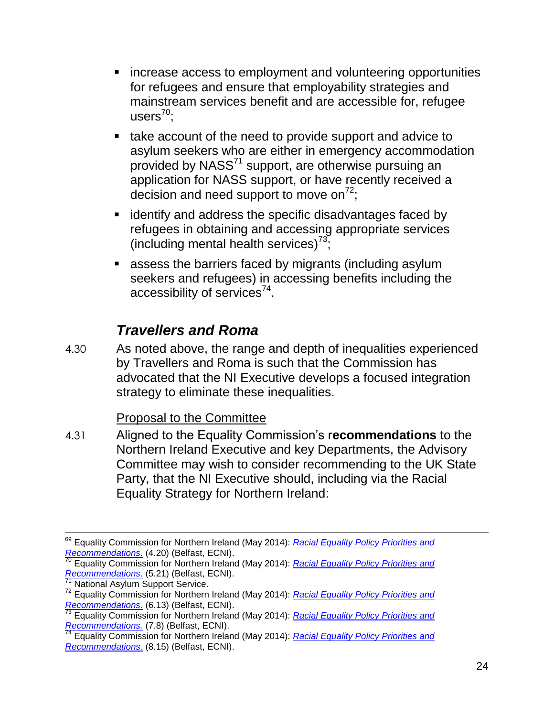- **EXTERGHEEVIOLET EXTERGHEEVIOLET Increase access to employment and volunteering opportunities** for refugees and ensure that employability strategies and mainstream services benefit and are accessible for, refugee users $^{70}$ ;
- take account of the need to provide support and advice to asylum seekers who are either in emergency accommodation provided by NASS<sup>71</sup> support, are otherwise pursuing an application for NASS support, or have recently received a decision and need support to move on<sup>72</sup>.
- **EXTERGHT identify and address the specific disadvantages faced by** refugees in obtaining and accessing appropriate services (including mental health services)<sup>73</sup>;
- assess the barriers faced by migrants (including asylum seekers and refugees) in accessing benefits including the accessibility of services $^{74}$ .

#### *Travellers and Roma*

4.30 As noted above, the range and depth of inequalities experienced by Travellers and Roma is such that the Commission has advocated that the NI Executive develops a focused integration strategy to eliminate these inequalities.

#### Proposal to the Committee

4.31 Aligned to the Equality Commission's r**ecommendations** to the Northern Ireland Executive and key Departments, the Advisory Committee may wish to consider recommending to the UK State Party, that the NI Executive should, including via the Racial Equality Strategy for Northern Ireland:

<sup>69</sup> Equality Commission for Northern Ireland (May 2014): *[Racial Equality Policy Priorities and](http://www.google.co.uk/url?url=http://www.equalityni.org/Delivering-Equality/Equality-Themes/Racial-equality.aspx&rct=j&frm=1&q=&esrc=s&sa=U&ved=0CBQQFjAAahUKEwj9hp3Jt9jGAhXDbRQKHR4eCRg&usg=AFQjCNEf3Ns7e2VMpHN638CX_eV4mRk8bQ)  [Recommendations.](http://www.google.co.uk/url?url=http://www.equalityni.org/Delivering-Equality/Equality-Themes/Racial-equality.aspx&rct=j&frm=1&q=&esrc=s&sa=U&ved=0CBQQFjAAahUKEwj9hp3Jt9jGAhXDbRQKHR4eCRg&usg=AFQjCNEf3Ns7e2VMpHN638CX_eV4mRk8bQ)* (4.20) (Belfast, ECNI).

<sup>70</sup> Equality Commission for Northern Ireland (May 2014): *[Racial Equality Policy Priorities and](http://www.google.co.uk/url?url=http://www.equalityni.org/Delivering-Equality/Equality-Themes/Racial-equality.aspx&rct=j&frm=1&q=&esrc=s&sa=U&ved=0CBQQFjAAahUKEwj9hp3Jt9jGAhXDbRQKHR4eCRg&usg=AFQjCNEf3Ns7e2VMpHN638CX_eV4mRk8bQ)  [Recommendations](http://www.google.co.uk/url?url=http://www.equalityni.org/Delivering-Equality/Equality-Themes/Racial-equality.aspx&rct=j&frm=1&q=&esrc=s&sa=U&ved=0CBQQFjAAahUKEwj9hp3Jt9jGAhXDbRQKHR4eCRg&usg=AFQjCNEf3Ns7e2VMpHN638CX_eV4mRk8bQ).* (5.21) (Belfast, ECNI).

National Asylum Support Service.

<sup>72</sup> Equality Commission for Northern Ireland (May 2014): *[Racial Equality Policy Priorities and](http://www.google.co.uk/url?url=http://www.equalityni.org/Delivering-Equality/Equality-Themes/Racial-equality.aspx&rct=j&frm=1&q=&esrc=s&sa=U&ved=0CBQQFjAAahUKEwj9hp3Jt9jGAhXDbRQKHR4eCRg&usg=AFQjCNEf3Ns7e2VMpHN638CX_eV4mRk8bQ)  [Recommendations.](http://www.google.co.uk/url?url=http://www.equalityni.org/Delivering-Equality/Equality-Themes/Racial-equality.aspx&rct=j&frm=1&q=&esrc=s&sa=U&ved=0CBQQFjAAahUKEwj9hp3Jt9jGAhXDbRQKHR4eCRg&usg=AFQjCNEf3Ns7e2VMpHN638CX_eV4mRk8bQ)* (6.13) (Belfast, ECNI).

<sup>73</sup> Equality Commission for Northern Ireland (May 2014): *[Racial Equality Policy Priorities and](http://www.google.co.uk/url?url=http://www.equalityni.org/Delivering-Equality/Equality-Themes/Racial-equality.aspx&rct=j&frm=1&q=&esrc=s&sa=U&ved=0CBQQFjAAahUKEwj9hp3Jt9jGAhXDbRQKHR4eCRg&usg=AFQjCNEf3Ns7e2VMpHN638CX_eV4mRk8bQ)  [Recommendations.](http://www.google.co.uk/url?url=http://www.equalityni.org/Delivering-Equality/Equality-Themes/Racial-equality.aspx&rct=j&frm=1&q=&esrc=s&sa=U&ved=0CBQQFjAAahUKEwj9hp3Jt9jGAhXDbRQKHR4eCRg&usg=AFQjCNEf3Ns7e2VMpHN638CX_eV4mRk8bQ)* (7.8) (Belfast, ECNI).<br><sup>74</sup> Equality Carelians. (7.8) (Belfast, ECNI).

<sup>74</sup> Equality Commission for Northern Ireland (May 2014): *[Racial Equality Policy Priorities and](http://www.google.co.uk/url?url=http://www.equalityni.org/Delivering-Equality/Equality-Themes/Racial-equality.aspx&rct=j&frm=1&q=&esrc=s&sa=U&ved=0CBQQFjAAahUKEwj9hp3Jt9jGAhXDbRQKHR4eCRg&usg=AFQjCNEf3Ns7e2VMpHN638CX_eV4mRk8bQ)  [Recommendations](http://www.google.co.uk/url?url=http://www.equalityni.org/Delivering-Equality/Equality-Themes/Racial-equality.aspx&rct=j&frm=1&q=&esrc=s&sa=U&ved=0CBQQFjAAahUKEwj9hp3Jt9jGAhXDbRQKHR4eCRg&usg=AFQjCNEf3Ns7e2VMpHN638CX_eV4mRk8bQ)*. (8.15) (Belfast, ECNI).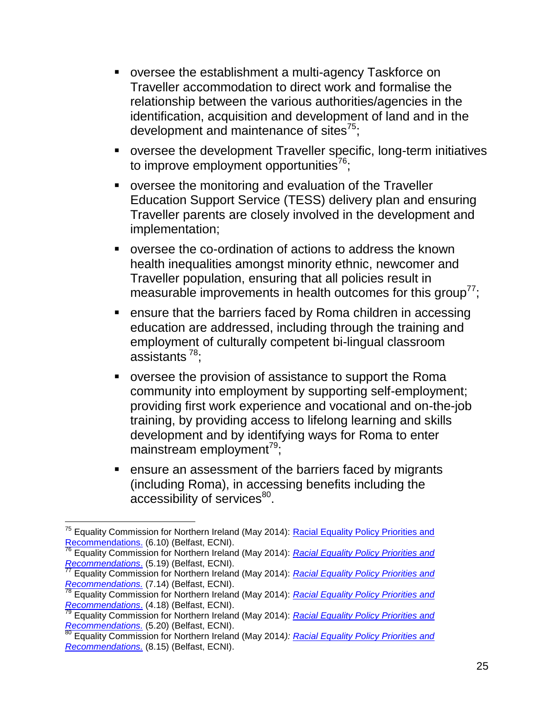- oversee the establishment a multi-agency Taskforce on Traveller accommodation to direct work and formalise the relationship between the various authorities/agencies in the identification, acquisition and development of land and in the development and maintenance of sites $^{75}$ ;
- oversee the development Traveller specific, long-term initiatives to improve employment opportunities<sup>76</sup>;
- oversee the monitoring and evaluation of the Traveller Education Support Service (TESS) delivery plan and ensuring Traveller parents are closely involved in the development and implementation;
- oversee the co-ordination of actions to address the known health inequalities amongst minority ethnic, newcomer and Traveller population, ensuring that all policies result in measurable improvements in health outcomes for this group $77$ ;
- **EXE** ensure that the barriers faced by Roma children in accessing education are addressed, including through the training and employment of culturally competent bi-lingual classroom assistants <sup>78</sup>;
- oversee the provision of assistance to support the Roma community into employment by supporting self-employment; providing first work experience and vocational and on-the-job training, by providing access to lifelong learning and skills development and by identifying ways for Roma to enter mainstream employment<sup>79</sup>;
- **EXE** ensure an assessment of the barriers faced by migrants (including Roma), in accessing benefits including the accessibility of services<sup>80</sup>.

 $\overline{a}$ <sup>75</sup> Equality Commission for Northern Ireland (May 2014): Racial Equality Policy Priorities and [Recommendations.](http://www.google.co.uk/url?url=http://www.equalityni.org/Delivering-Equality/Equality-Themes/Racial-equality.aspx&rct=j&frm=1&q=&esrc=s&sa=U&ved=0CBQQFjAAahUKEwj9hp3Jt9jGAhXDbRQKHR4eCRg&usg=AFQjCNEf3Ns7e2VMpHN638CX_eV4mRk8bQ) (6.10) (Belfast, ECNI).

<sup>76</sup> Equality Commission for Northern Ireland (May 2014): *[Racial Equality Policy Priorities and](http://www.google.co.uk/url?url=http://www.equalityni.org/Delivering-Equality/Equality-Themes/Racial-equality.aspx&rct=j&frm=1&q=&esrc=s&sa=U&ved=0CBQQFjAAahUKEwj9hp3Jt9jGAhXDbRQKHR4eCRg&usg=AFQjCNEf3Ns7e2VMpHN638CX_eV4mRk8bQ)  [Recommendations](http://www.google.co.uk/url?url=http://www.equalityni.org/Delivering-Equality/Equality-Themes/Racial-equality.aspx&rct=j&frm=1&q=&esrc=s&sa=U&ved=0CBQQFjAAahUKEwj9hp3Jt9jGAhXDbRQKHR4eCRg&usg=AFQjCNEf3Ns7e2VMpHN638CX_eV4mRk8bQ)*. (5.19) (Belfast, ECNI).

<sup>77</sup> Equality Commission for Northern Ireland (May 2014): *[Racial Equality Policy Priorities and](http://www.google.co.uk/url?url=http://www.equalityni.org/Delivering-Equality/Equality-Themes/Racial-equality.aspx&rct=j&frm=1&q=&esrc=s&sa=U&ved=0CBQQFjAAahUKEwj9hp3Jt9jGAhXDbRQKHR4eCRg&usg=AFQjCNEf3Ns7e2VMpHN638CX_eV4mRk8bQ)  [Recommendations.](http://www.google.co.uk/url?url=http://www.equalityni.org/Delivering-Equality/Equality-Themes/Racial-equality.aspx&rct=j&frm=1&q=&esrc=s&sa=U&ved=0CBQQFjAAahUKEwj9hp3Jt9jGAhXDbRQKHR4eCRg&usg=AFQjCNEf3Ns7e2VMpHN638CX_eV4mRk8bQ)* (7.14) (Belfast, ECNI).

<sup>78</sup> Equality Commission for Northern Ireland (May 2014): *[Racial Equality Policy Priorities and](http://www.google.co.uk/url?url=http://www.equalityni.org/Delivering-Equality/Equality-Themes/Racial-equality.aspx&rct=j&frm=1&q=&esrc=s&sa=U&ved=0CBQQFjAAahUKEwj9hp3Jt9jGAhXDbRQKHR4eCRg&usg=AFQjCNEf3Ns7e2VMpHN638CX_eV4mRk8bQ)  [Recommendations](http://www.google.co.uk/url?url=http://www.equalityni.org/Delivering-Equality/Equality-Themes/Racial-equality.aspx&rct=j&frm=1&q=&esrc=s&sa=U&ved=0CBQQFjAAahUKEwj9hp3Jt9jGAhXDbRQKHR4eCRg&usg=AFQjCNEf3Ns7e2VMpHN638CX_eV4mRk8bQ)*. (4.18) (Belfast, ECNI).

<sup>79</sup> Equality Commission for Northern Ireland (May 2014): *[Racial Equality Policy Priorities and](http://www.google.co.uk/url?url=http://www.equalityni.org/Delivering-Equality/Equality-Themes/Racial-equality.aspx&rct=j&frm=1&q=&esrc=s&sa=U&ved=0CBQQFjAAahUKEwj9hp3Jt9jGAhXDbRQKHR4eCRg&usg=AFQjCNEf3Ns7e2VMpHN638CX_eV4mRk8bQ)  [Recommendations.](http://www.google.co.uk/url?url=http://www.equalityni.org/Delivering-Equality/Equality-Themes/Racial-equality.aspx&rct=j&frm=1&q=&esrc=s&sa=U&ved=0CBQQFjAAahUKEwj9hp3Jt9jGAhXDbRQKHR4eCRg&usg=AFQjCNEf3Ns7e2VMpHN638CX_eV4mRk8bQ)* (5.20) (Belfast, ECNI).

<sup>80</sup> Equality Commission for Northern Ireland (May 2014*): [Racial Equality Policy Priorities and](http://www.google.co.uk/url?url=http://www.equalityni.org/Delivering-Equality/Equality-Themes/Racial-equality.aspx&rct=j&frm=1&q=&esrc=s&sa=U&ved=0CBQQFjAAahUKEwj9hp3Jt9jGAhXDbRQKHR4eCRg&usg=AFQjCNEf3Ns7e2VMpHN638CX_eV4mRk8bQ)  [Recommendations.](http://www.google.co.uk/url?url=http://www.equalityni.org/Delivering-Equality/Equality-Themes/Racial-equality.aspx&rct=j&frm=1&q=&esrc=s&sa=U&ved=0CBQQFjAAahUKEwj9hp3Jt9jGAhXDbRQKHR4eCRg&usg=AFQjCNEf3Ns7e2VMpHN638CX_eV4mRk8bQ)* (8.15) (Belfast, ECNI).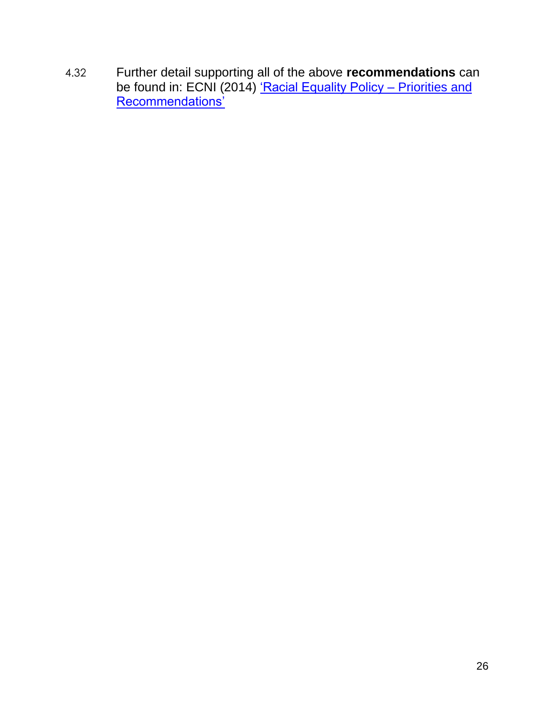4.32 Further detail supporting all of the above **recommendations** can be found in: ECNI (2014) ['Racial Equality Policy –](http://www.equalityni.org/ECNI/media/ECNI/Publications/Delivering%20Equality/RacialEquality_PolicyPosition2014.pdf) Priorities and [Recommendations'](http://www.equalityni.org/ECNI/media/ECNI/Publications/Delivering%20Equality/RacialEquality_PolicyPosition2014.pdf)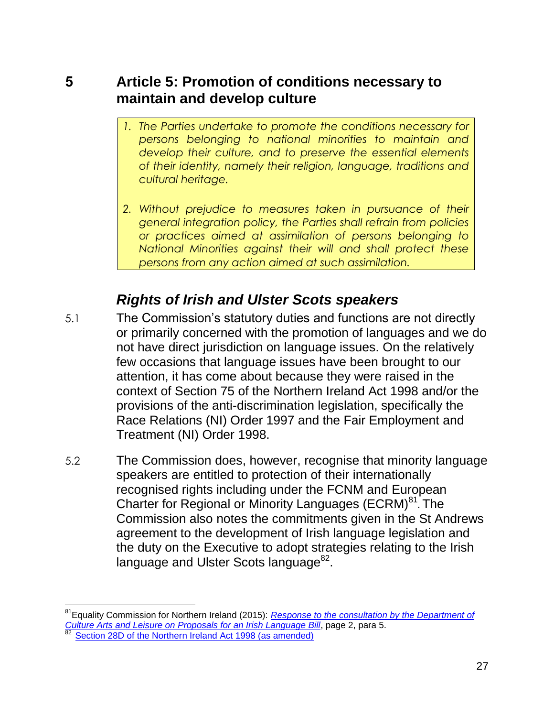#### **5 Article 5: Promotion of conditions necessary to maintain and develop culture**

- *1. The Parties undertake to promote the conditions necessary for persons belonging to national minorities to maintain and develop their culture, and to preserve the essential elements of their identity, namely their religion, language, traditions and cultural heritage.*
- *2. Without prejudice to measures taken in pursuance of their general integration policy, the Parties shall refrain from policies or practices aimed at assimilation of persons belonging to National Minorities against their will and shall protect these persons from any action aimed at such assimilation.*

### *Rights of Irish and Ulster Scots speakers*

- 5.1 The Commission's statutory duties and functions are not directly or primarily concerned with the promotion of languages and we do not have direct jurisdiction on language issues. On the relatively few occasions that language issues have been brought to our attention, it has come about because they were raised in the context of Section 75 of the Northern Ireland Act 1998 and/or the provisions of the anti-discrimination legislation, specifically the Race Relations (NI) Order 1997 and the Fair Employment and Treatment (NI) Order 1998.
- 5.2 The Commission does, however, recognise that minority language speakers are entitled to protection of their internationally recognised rights including under the FCNM and European Charter for Regional or Minority Languages (ECRM)<sup>81</sup>. The Commission also notes the commitments given in the St Andrews agreement to the development of Irish language legislation and the duty on the Executive to adopt strategies relating to the Irish language and Ulster Scots language<sup>82</sup>.

 $\overline{\phantom{a}}$ 

<sup>81</sup>Equality Commission for Northern Ireland (2015): *[Response to the consultation by the Department of](http://www.equalityni.org/ECNI/media/ECNI/Consultation%20Responses/2015/DCAL-IrishLangBill-May15.pdf?ext=.pdf)  [Culture Arts and Leisure on Proposals for an Irish Language Bill](http://www.equalityni.org/ECNI/media/ECNI/Consultation%20Responses/2015/DCAL-IrishLangBill-May15.pdf?ext=.pdf)*, page 2, para 5. [Section 28D of the Northern Ireland Act 1998 \(as amended\)](http://www.legislation.gov.uk/ukpga/1998/47/section/28D)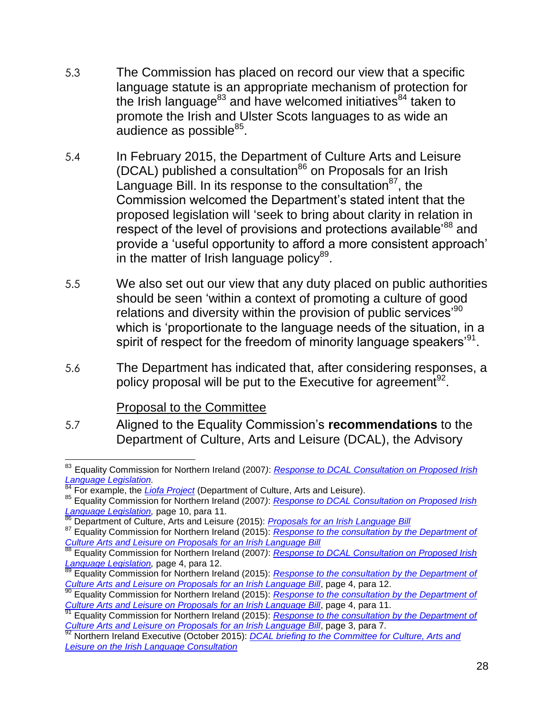- 5.3 The Commission has placed on record our view that a specific language statute is an appropriate mechanism of protection for the Irish language<sup>83</sup> and have welcomed initiatives<sup>84</sup> taken to promote the Irish and Ulster Scots languages to as wide an audience as possible<sup>85</sup>.
- 5.4 In February 2015, the Department of Culture Arts and Leisure (DCAL) published a consultation $86$  on Proposals for an Irish Language Bill. In its response to the consultation $87$ , the Commission welcomed the Department's stated intent that the proposed legislation will 'seek to bring about clarity in relation in respect of the level of provisions and protections available<sup>88</sup> and provide a 'useful opportunity to afford a more consistent approach' in the matter of Irish language policy $89$ .
- 5.5 We also set out our view that any duty placed on public authorities should be seen 'within a context of promoting a culture of good relations and diversity within the provision of public services<sup>,90</sup> which is 'proportionate to the language needs of the situation, in a spirit of respect for the freedom of minority language speakers' $^{91}$ .
- 5.6 The Department has indicated that, after considering responses, a policy proposal will be put to the Executive for agreement $92$ .

#### Proposal to the Committee

5.7 Aligned to the Equality Commission's **recommendations** to the Department of Culture, Arts and Leisure (DCAL), the Advisory

 $\overline{a}$ <sup>83</sup> Equality Commission for Northern Ireland (2007*)*: *[Response to DCAL Consultation on Proposed Irish](file://equality.local/root/Data1/PUBLIC%20POLICY/Projects/Racial%20Equality%20Policy/Framework%20Convention%20for%20National%20minorities/D_2015/FCNM_2015response/FCNM_ECNIResponse_V0_13.10.15.docx)  [Language Legislation.](file://equality.local/root/Data1/PUBLIC%20POLICY/Projects/Racial%20Equality%20Policy/Framework%20Convention%20for%20National%20minorities/D_2015/FCNM_2015response/FCNM_ECNIResponse_V0_13.10.15.docx)*

<sup>84</sup> For example, the *[Liofa Project](https://www.liofa.eu/)* (Department of Culture, Arts and Leisure).

<sup>85</sup> Equality Commission for Northern Ireland (2007*)*: *[Response to DCAL Consultation on Proposed Irish](file://equality.local/root/Data1/PUBLIC%20POLICY/Projects/Racial%20Equality%20Policy/Framework%20Convention%20for%20National%20minorities/D_2015/FCNM_2015response/FCNM_ECNIResponse_V0_13.10.15.docx)  Language Legislation*, page 10, para 11.

<sup>86</sup> Department of Culture, Arts and Leisure (2015): *[Proposals for an Irish Language Bill](http://www.dcalni.gov.uk/consultation_document_-_proposals_for_an_irish_language_bill__5_.pdf)*

<sup>87</sup> Equality Commission for Northern Ireland (2015): *[Response to the consultation by the Department of](http://www.equalityni.org/ECNI/media/ECNI/Consultation%20Responses/2015/DCAL-IrishLangBill-May15.pdf?ext=.pdf)  [Culture Arts and Leisure on Proposals for an Irish Language Bill](http://www.equalityni.org/ECNI/media/ECNI/Consultation%20Responses/2015/DCAL-IrishLangBill-May15.pdf?ext=.pdf)*

<sup>88</sup> Equality Commission for Northern Ireland (2007*)*: *[Response to DCAL Consultation on Proposed Irish](file://equality.local/root/Data1/PUBLIC%20POLICY/Projects/Racial%20Equality%20Policy/Framework%20Convention%20for%20National%20minorities/D_2015/FCNM_2015response/FCNM_ECNIResponse_V0_13.10.15.docx)  [Language Legislation,](file://equality.local/root/Data1/PUBLIC%20POLICY/Projects/Racial%20Equality%20Policy/Framework%20Convention%20for%20National%20minorities/D_2015/FCNM_2015response/FCNM_ECNIResponse_V0_13.10.15.docx)* page 4, para 12.

<sup>89</sup> Equality Commission for Northern Ireland (2015): *[Response to the consultation by the Department of](http://www.equalityni.org/ECNI/media/ECNI/Consultation%20Responses/2015/DCAL-IrishLangBill-May15.pdf?ext=.pdf)  [Culture Arts and Leisure on Proposals for an Irish Language Bill](http://www.equalityni.org/ECNI/media/ECNI/Consultation%20Responses/2015/DCAL-IrishLangBill-May15.pdf?ext=.pdf)*, page 4, para 12.

<sup>90</sup> Equality Commission for Northern Ireland (2015): *[Response to the consultation by the Department of](http://www.equalityni.org/ECNI/media/ECNI/Consultation%20Responses/2015/DCAL-IrishLangBill-May15.pdf?ext=.pdf)  [Culture Arts and Leisure on Proposals for an Irish Language Bill](http://www.equalityni.org/ECNI/media/ECNI/Consultation%20Responses/2015/DCAL-IrishLangBill-May15.pdf?ext=.pdf)*, page 4, para 11.

<sup>91</sup> Equality Commission for Northern Ireland (2015): *[Response to the consultation by the Department of](http://www.equalityni.org/ECNI/media/ECNI/Consultation%20Responses/2015/DCAL-IrishLangBill-May15.pdf?ext=.pdf)  [Culture Arts and Leisure on Proposals for an Irish Language Bill](http://www.equalityni.org/ECNI/media/ECNI/Consultation%20Responses/2015/DCAL-IrishLangBill-May15.pdf?ext=.pdf)*, page 3, para 7.<br><sup>92</sup> Northern Ireland Euseptic (Co. 37 The Trish Language Bill, page 3, para 7.

<sup>92</sup> Northern Ireland Executive (October 2015): *[DCAL briefing to the Committee for Culture, Arts and](http://www.niassembly.gov.uk/assembly-business/committees/culture-arts-and-leisure/meetings/01-october-2015/)  [Leisure on the Irish Language Consultation](http://www.niassembly.gov.uk/assembly-business/committees/culture-arts-and-leisure/meetings/01-october-2015/)*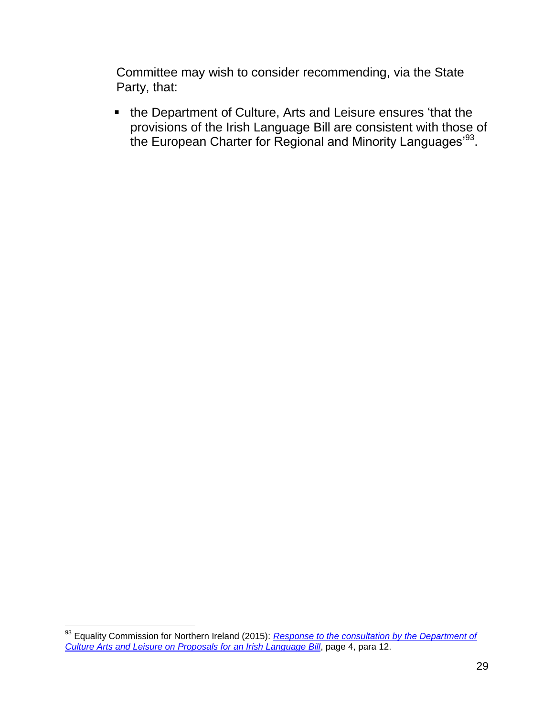Committee may wish to consider recommending, via the State Party, that:

 the Department of Culture, Arts and Leisure ensures 'that the provisions of the Irish Language Bill are consistent with those of the European Charter for Regional and Minority Languages' $^{93}.$ 

<sup>93</sup> Equality Commission for Northern Ireland (2015): *[Response to the consultation by the Department of](http://www.equalityni.org/ECNI/media/ECNI/Consultation%20Responses/2015/DCAL-IrishLangBill-May15.pdf?ext=.pdf)  [Culture Arts and Leisure on Proposals for an Irish Language Bill](http://www.equalityni.org/ECNI/media/ECNI/Consultation%20Responses/2015/DCAL-IrishLangBill-May15.pdf?ext=.pdf)*, page 4, para 12.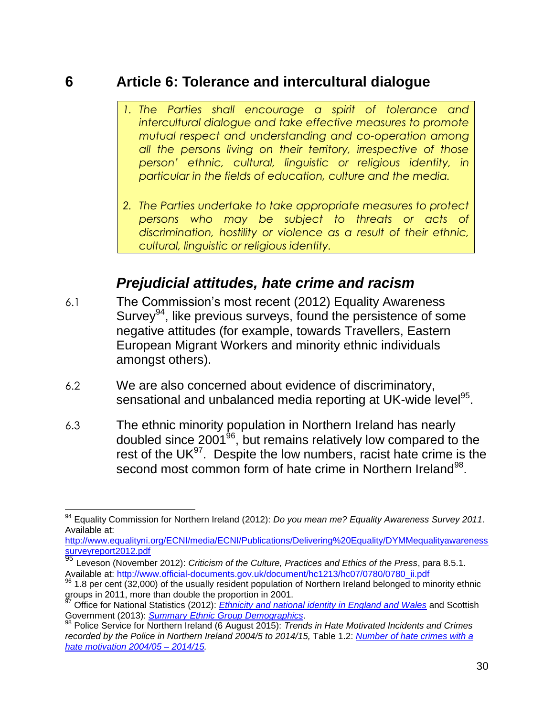#### **6 Article 6: Tolerance and intercultural dialogue**

- *1. The Parties shall encourage a spirit of tolerance and intercultural dialogue and take effective measures to promote mutual respect and understanding and co-operation among all the persons living on their territory, irrespective of those person' ethnic, cultural, linguistic or religious identity, in particular in the fields of education, culture and the media.*
- *2. The Parties undertake to take appropriate measures to protect persons who may be subject to threats or acts of discrimination, hostility or violence as a result of their ethnic, cultural, linguistic or religious identity.*

### *Prejudicial attitudes, hate crime and racism*

- 6.1 The Commission's most recent (2012) Equality Awareness Survey<sup>94</sup>, like previous surveys, found the persistence of some negative attitudes (for example, towards Travellers, Eastern European Migrant Workers and minority ethnic individuals amongst others).
- 6.2 We are also concerned about evidence of discriminatory, sensational and unbalanced media reporting at UK-wide level<sup>95</sup>.
- 6.3 The ethnic minority population in Northern Ireland has nearly doubled since 2001 $^{96}$ , but remains relatively low compared to the rest of the UK $^{97}$ . Despite the low numbers, racist hate crime is the second most common form of hate crime in Northern Ireland<sup>98</sup>.

 $\overline{\phantom{a}}$ <sup>94</sup> Equality Commission for Northern Ireland (2012): *Do you mean me? Equality Awareness Survey 2011*. Available at:

[http://www.equalityni.org/ECNI/media/ECNI/Publications/Delivering%20Equality/DYMMequalityawareness](http://www.equalityni.org/ECNI/media/ECNI/Publications/Delivering%20Equality/DYMMequalityawarenesssurveyreport2012.pdf) [surveyreport2012.pdf](http://www.equalityni.org/ECNI/media/ECNI/Publications/Delivering%20Equality/DYMMequalityawarenesssurveyreport2012.pdf)

<sup>95</sup> Leveson (November 2012): *Criticism of the Culture, Practices and Ethics of the Press*, para 8.5.1. Available at: http://www.official-documents.gov.uk/document/hc1213/hc07/0780/0780\_ii.pdf

<sup>96</sup> 1.8 per cent (32,000) of the usually resident population of Northern Ireland belonged to minority ethnic groups in 2011, more than double the proportion in 2001.

<sup>97</sup> Office for National Statistics (2012): *[Ethnicity and national identity in England and Wales](http://www.ons.gov.uk/ons/rel/census/2011-census/key-statistics-for-local-authorities-in-england-and-wales/rpt-ethnicity.html)* and Scottish Government (2013): *[Summary Ethnic Group Demographics](http://www.gov.scot/Topics/People/Equality/Equalities/DataGrid/Ethnicity/EthPopMig)*.

<sup>98</sup> Police Service for Northern Ireland (6 August 2015): *Trends in Hate Motivated Incidents and Crimes recorded by the Police in Northern Ireland 2004/5 to 2014/15,* Table 1.2: *[Number of hate crimes with a](http://www.psni.police.uk/hate_motivated_incidents_and_crimes_in_northern_ireland_2004-05_to_2014-15.pdf)  [hate motivation 2004/05 –](http://www.psni.police.uk/hate_motivated_incidents_and_crimes_in_northern_ireland_2004-05_to_2014-15.pdf) 2014/15.*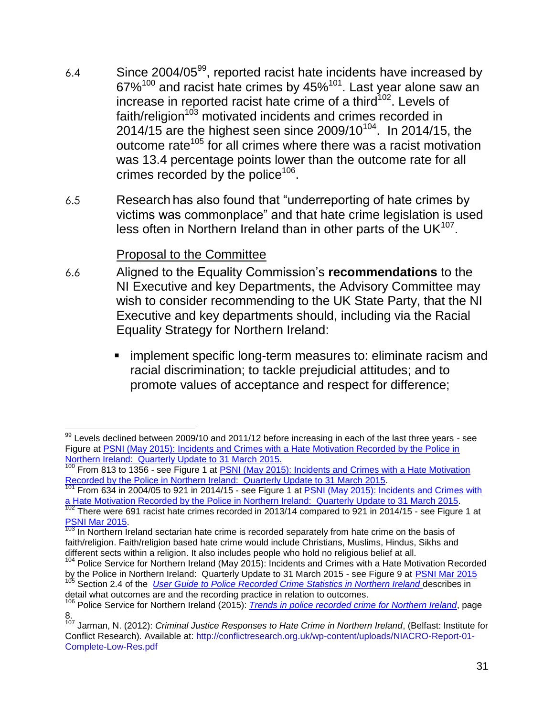- 6.4 Since 2004/05 $^{99}$ , reported racist hate incidents have increased by  $67\%^{100}$  and racist hate crimes by  $45\%^{101}$ . Last year alone saw an increase in reported racist hate crime of a third<sup>102</sup>. Levels of faith/religion<sup>103</sup> motivated incidents and crimes recorded in 2014/15 are the highest seen since 2009/10 $^{104}$ . In 2014/15, the outcome rate<sup>105</sup> for all crimes where there was a racist motivation was 13.4 percentage points lower than the outcome rate for all crimes recorded by the police<sup>106</sup>.
- 6.5 Research has also found that "underreporting of hate crimes by victims was commonplace" and that hate crime legislation is used less often in Northern Ireland than in other parts of the UK $^{107}$ .

#### Proposal to the Committee

- 6.6 Aligned to the Equality Commission's **recommendations** to the NI Executive and key Departments, the Advisory Committee may wish to consider recommending to the UK State Party, that the NI Executive and key departments should, including via the Racial Equality Strategy for Northern Ireland:
	- implement specific long-term measures to: eliminate racism and racial discrimination; to tackle prejudicial attitudes; and to promote values of acceptance and respect for difference;

 $\overline{a}$  $99$  Levels declined between 2009/10 and 2011/12 before increasing in each of the last three years - see Figure at [PSNI \(May 2015\): Incidents and Crimes with a Hate Motivation Recorded by the Police in](http://www.psni.police.uk/quarterly_hate_motivations_bulletin_period_ending_mar15.pdfhttp:/www.psni.police.uk/quarterly_hate_motivations_bulletin_period_ending_mar15.pdf)  [Northern Ireland: Quarterly Update to 31 March 2015.](http://www.psni.police.uk/quarterly_hate_motivations_bulletin_period_ending_mar15.pdfhttp:/www.psni.police.uk/quarterly_hate_motivations_bulletin_period_ending_mar15.pdf)

<sup>100</sup> From 813 to 1356 - see Figure 1 at **PSNI** (May 2015): Incidents and Crimes with a Hate Motivation [Recorded by the Police in Northern Ireland: Quarterly Update to 31 March 2015.](http://www.psni.police.uk/quarterly_hate_motivations_bulletin_period_ending_mar15.pdfhttp:/www.psni.police.uk/quarterly_hate_motivations_bulletin_period_ending_mar15.pdf)

From 634 in 2004/05 to 921 in 2014/15 - see Figure 1 at PSNI (May 2015): Incidents and Crimes with [a Hate Motivation Recorded by the Police in Northern Ireland: Quarterly Update to 31 March 2015.](http://www.psni.police.uk/quarterly_hate_motivations_bulletin_period_ending_mar15.pdf)

 $102$  There were 691 racist hate crimes recorded in 2013/14 compared to 921 in 2014/15 - see Figure 1 at [PSNI Mar](http://www.psni.police.uk/quarterly_hate_motivations_bulletin_period_ending_mar15.pdf) 2015.

<sup>&</sup>lt;sup>103</sup> In Northern Ireland sectarian hate crime is recorded separately from hate crime on the basis of faith/religion. Faith/religion based hate crime would include Christians, Muslims, Hindus, Sikhs and different sects within a religion. It also includes people who hold no religious belief at all.

<sup>&</sup>lt;sup>104</sup> Police Service for Northern Ireland (May 2015): Incidents and Crimes with a Hate Motivation Recorded by the Police in Northern Ireland: Quarterly Update to 31 March 2015 - see Figure 9 at **[PSNI Mar](http://www.psni.police.uk/quarterly_hate_motivations_bulletin_period_ending_mar15.pdf) 2015** 

Section 2.4 of the *[User Guide to Police Recorded Crime Statistics in Northern Ireland](http://www.psni.police.uk/user_guide.pdf)* describes in detail what outcomes are and the recording practice in relation to outcomes.

<sup>106</sup> Police Service for Northern Ireland (2015): *Trends in police [recorded crime for Northern Ireland](http://www.psni.police.uk/police_recorded_crime_in_northern_ireland_1998-99_to_2014-15.pdf)*, page 8.

<sup>107</sup> Jarman, N. (2012): *Criminal Justice Responses to Hate Crime in Northern Ireland*, (Belfast: Institute for Conflict Research)*.* Available at: [http://conflictresearch.org.uk/wp-content/uploads/NIACRO-Report-01-](http://conflictresearch.org.uk/wp-content/uploads/NIACRO-Report-01-Complete-Low-Res.pdf) [Complete-Low-Res.pdf](http://conflictresearch.org.uk/wp-content/uploads/NIACRO-Report-01-Complete-Low-Res.pdf)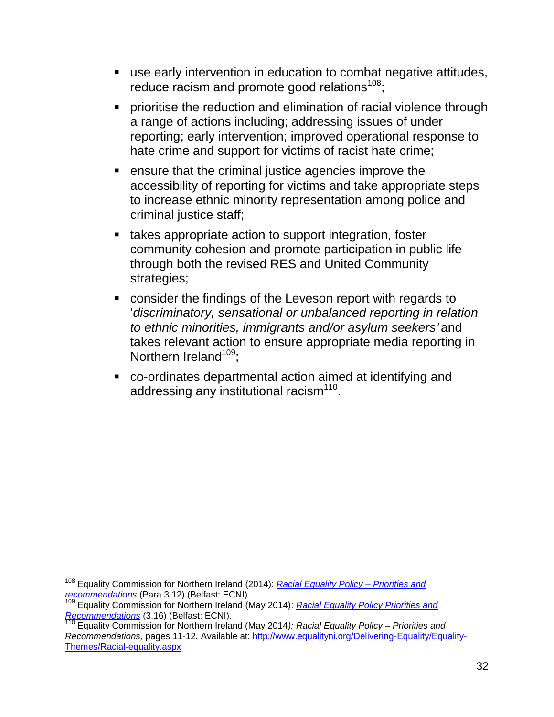- use early intervention in education to combat negative attitudes, reduce racism and promote good relations $108$ ;
- **Periorially in the reduction and elimination of racial violence through** a range of actions including; addressing issues of under reporting; early intervention; improved operational response to hate crime and support for victims of racist hate crime;
- ensure that the criminal justice agencies improve the accessibility of reporting for victims and take appropriate steps to increase ethnic minority representation among police and criminal justice staff;
- takes appropriate action to support integration, foster community cohesion and promote participation in public life through both the revised RES and United Community strategies;
- consider the findings of the Leveson report with regards to '*discriminatory, sensational or unbalanced reporting in relation to ethnic minorities, immigrants and/or asylum seekers'* and takes relevant action to ensure appropriate media reporting in Northern Ireland<sup>109</sup>:
- co-ordinates departmental action aimed at identifying and addressing any institutional racism<sup>110</sup>.

 $\overline{\phantom{a}}$ <sup>108</sup> Equality Commission for Northern Ireland (2014): *[Racial Equality Policy –](http://www.equalityni.org/ECNI/media/ECNI/Publications/Delivering%20Equality/RacialEquality_PolicyPosition2014.pdf) Priorities and [recommendations](http://www.equalityni.org/ECNI/media/ECNI/Publications/Delivering%20Equality/RacialEquality_PolicyPosition2014.pdf)* (Para 3.12) (Belfast: ECNI).

<sup>109</sup> Equality Commission for Northern Ireland (May 2014): *[Racial Equality Policy Priorities and](file://equality.local/root/Data1/PUBLIC%20POLICY/Projects/Racial%20Equality%20Policy/ECRI/ECRI_2015/ECRIResponse2015/ShortDraftResponsetoECRI_V0f_19%2010%2015_draftfinal_ECDMcK.docx)  [Recommendations](file://equality.local/root/Data1/PUBLIC%20POLICY/Projects/Racial%20Equality%20Policy/ECRI/ECRI_2015/ECRIResponse2015/ShortDraftResponsetoECRI_V0f_19%2010%2015_draftfinal_ECDMcK.docx)* (3.16) (Belfast: ECNI).

<sup>110</sup> Equality Commission for Northern Ireland (May 2014*): Racial Equality Policy – Priorities and Recommendations,* pages 11-12*.* Available at: [http://www.equalityni.org/Delivering-Equality/Equality-](http://www.equalityni.org/Delivering-Equality/Equality-Themes/Racial-equality.aspx)[Themes/Racial-equality.aspx](http://www.equalityni.org/Delivering-Equality/Equality-Themes/Racial-equality.aspx)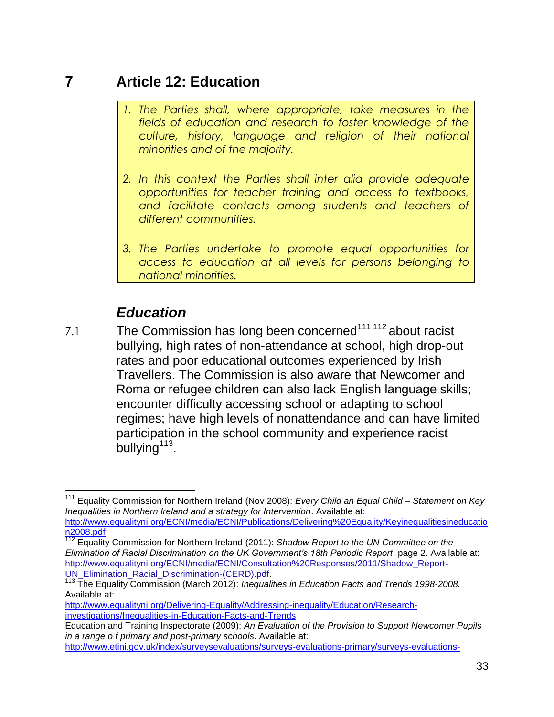## **7 Article 12: Education**

- *1. The Parties shall, where appropriate, take measures in the fields of education and research to foster knowledge of the culture, history, language and religion of their national minorities and of the majority.*
- *2. In this context the Parties shall inter alia provide adequate opportunities for teacher training and access to textbooks, and facilitate contacts among students and teachers of different communities.*
- *3. The Parties undertake to promote equal opportunities for access to education at all levels for persons belonging to national minorities.*

# *Education*

7.1 The Commission has long been concerned<sup>111 112</sup> about racist bullying, high rates of non-attendance at school, high drop-out rates and poor educational outcomes experienced by Irish Travellers. The Commission is also aware that Newcomer and Roma or refugee children can also lack English language skills; encounter difficulty accessing school or adapting to school regimes; have high levels of nonattendance and can have limited participation in the school community and experience racist  $b$ ullying<sup>113</sup>.

 $\overline{\phantom{a}}$ <sup>111</sup> Equality Commission for Northern Ireland (Nov 2008): *Every Child an Equal Child – Statement on Key Inequalities in Northern Ireland and a strategy for Intervention*. Available at:

[http://www.equalityni.org/ECNI/media/ECNI/Publications/Delivering%20Equality/Keyinequalitiesineducatio](http://www.equalityni.org/ECNI/media/ECNI/Publications/Delivering%20Equality/Keyinequalitiesineducation2008.pdf) [n2008.pdf](http://www.equalityni.org/ECNI/media/ECNI/Publications/Delivering%20Equality/Keyinequalitiesineducation2008.pdf)

<sup>&</sup>lt;sup>112</sup> Equality Commission for Northern Ireland (2011): *Shadow Report to the UN Committee on the Elimination of Racial Discrimination on the UK Government's 18th Periodic Report*, page 2. Available at: [http://www.equalityni.org/ECNI/media/ECNI/Consultation%20Responses/2011/Shadow\\_Report-](http://www.equalityni.org/ECNI/media/ECNI/Consultation%20Responses/2011/Shadow_Report-UN_Elimination_Racial_Discrimination-(CERD).pdf)[UN\\_Elimination\\_Racial\\_Discrimination-\(CERD\).pdf.](http://www.equalityni.org/ECNI/media/ECNI/Consultation%20Responses/2011/Shadow_Report-UN_Elimination_Racial_Discrimination-(CERD).pdf)

<sup>113</sup> The Equality Commission (March 2012): *Inequalities in Education Facts and Trends 1998-2008.* Available at:

[http://www.equalityni.org/Delivering-Equality/Addressing-inequality/Education/Research](http://www.equalityni.org/Delivering-Equality/Addressing-inequality/Education/Research-investigations/Inequalities-in-Education-Facts-and-Trends)[investigations/Inequalities-in-Education-Facts-and-Trends](http://www.equalityni.org/Delivering-Equality/Addressing-inequality/Education/Research-investigations/Inequalities-in-Education-Facts-and-Trends)

Education and Training Inspectorate (2009): *An Evaluation of the Provision to Support Newcomer Pupils in a range o f primary and post-primary schools*. Available at:

[http://www.etini.gov.uk/index/surveysevaluations/surveys-evaluations-primary/surveys-evaluations-](http://www.etini.gov.uk/index/surveysevaluations/surveys-evaluations-primary/surveys-evaluations-primary-2009/an-evaluation-of-the-provision-tosupport-newcomer-pupils-in-a-range-of-primary-and-post-primary-schools.pdf)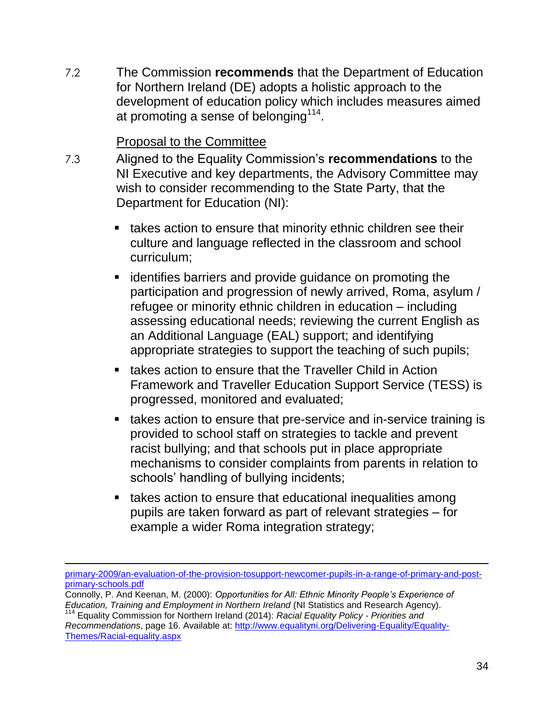7.2 The Commission **recommends** that the Department of Education for Northern Ireland (DE) adopts a holistic approach to the development of education policy which includes measures aimed at promoting a sense of belonging $114$ .

#### Proposal to the Committee

- 7.3 Aligned to the Equality Commission's **recommendations** to the NI Executive and key departments, the Advisory Committee may wish to consider recommending to the State Party, that the Department for Education (NI):
	- **takes action to ensure that minority ethnic children see their** culture and language reflected in the classroom and school curriculum;
	- **EXEDENT** identifies barriers and provide guidance on promoting the participation and progression of newly arrived, Roma, asylum / refugee or minority ethnic children in education – including assessing educational needs; reviewing the current English as an Additional Language (EAL) support; and identifying appropriate strategies to support the teaching of such pupils;
	- **takes action to ensure that the Traveller Child in Action** Framework and Traveller Education Support Service (TESS) is progressed, monitored and evaluated;
	- **takes action to ensure that pre-service and in-service training is** provided to school staff on strategies to tackle and prevent racist bullying; and that schools put in place appropriate mechanisms to consider complaints from parents in relation to schools' handling of bullying incidents;
	- **takes action to ensure that educational inequalities among** pupils are taken forward as part of relevant strategies – for example a wider Roma integration strategy;

 $\overline{a}$ 

*Recommendations*, page 16. Available at: [http://www.equalityni.org/Delivering-Equality/Equality-](http://www.equalityni.org/Delivering-Equality/Equality-Themes/Racial-equality.aspx)[Themes/Racial-equality.aspx](http://www.equalityni.org/Delivering-Equality/Equality-Themes/Racial-equality.aspx)

primary-2009/an-evaluation-of-the-provision-tosupport-newcomer-pupils-in-a-range-of-primary-and-postprimary-schools.pdf

Connolly, P. And Keenan, M. (2000): *Opportunities for All: Ethnic Minority People's Experience of Education, Training and Employment in Northern Ireland* (NI Statistics and Research Agency). <sup>114</sup> Equality Commission for Northern Ireland (2014): *Racial Equality Policy - Priorities and*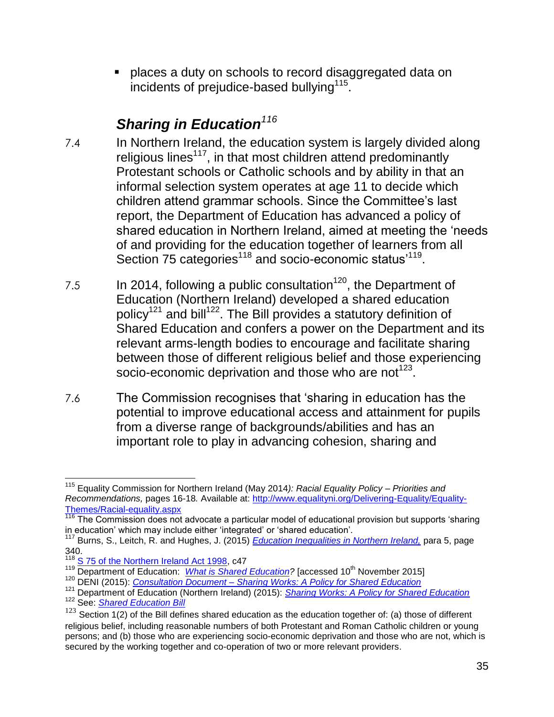places a duty on schools to record disaggregated data on incidents of prejudice-based bullying<sup>115</sup>.

# *Sharing in Education<sup>116</sup>*

- 7.4 In Northern Ireland, the education system is largely divided along religious lines<sup>117</sup>, in that most children attend predominantly Protestant schools or Catholic schools and by ability in that an informal selection system operates at age 11 to decide which children attend grammar schools. Since the Committee's last report, the Department of Education has advanced a policy of shared education in Northern Ireland, aimed at meeting the 'needs of and providing for the education together of learners from all Section 75 categories<sup>118</sup> and socio-economic status<sup>'119</sup>.
- 7.5 In 2014, following a public consultation<sup>120</sup>, the Department of Education (Northern Ireland) developed a shared education policy<sup>121</sup> and bill<sup>122</sup>. The Bill provides a statutory definition of Shared Education and confers a power on the Department and its relevant arms-length bodies to encourage and facilitate sharing between those of different religious belief and those experiencing socio-economic deprivation and those who are not<sup>123</sup>.
- 7.6 The Commission recognises that 'sharing in education has the potential to improve educational access and attainment for pupils from a diverse range of backgrounds/abilities and has an important role to play in advancing cohesion, sharing and

 $\overline{a}$ <sup>115</sup> Equality Commission for Northern Ireland (May 2014*): Racial Equality Policy – Priorities and Recommendations,* pages 16-18*.* Available at: [http://www.equalityni.org/Delivering-Equality/Equality-](http://www.equalityni.org/Delivering-Equality/Equality-Themes/Racial-equality.aspx)[Themes/Racial-equality.aspx](http://www.equalityni.org/Delivering-Equality/Equality-Themes/Racial-equality.aspx)

<sup>116</sup> The Commission does not advocate a particular model of educational provision but supports 'sharing in education' which may include either 'integrated' or 'shared education'.

<sup>117</sup> Burns, S., Leitch, R. and Hughes, J. (2015) *[Education Inequalities in Northern Ireland,](http://www.equalityni.org/ECNI/media/ECNI/Publications/Delivering%20Equality/EducationInequality-FullReportQUB.pdf)* para 5, page 340.

<sup>&</sup>lt;sup>118</sup> [S 75 of the Northern Ireland Act 1998,](http://www.legislation.gov.uk/ukpga/1998/47/section/75) c47

<sup>&</sup>lt;sup>119</sup> Department of Education: *[What is Shared Education?](https://www.deni.gov.uk/articles/what-shared-education)* [accessed 10<sup>th</sup> November 2015]

<sup>120</sup> DENI (2015): *Consultation Document – [Sharing Works: A Policy for Shared Education](http://www.deni.gov.uk/a_policy_for_shared_education_jan_2015.pdf)*

<sup>121</sup> Department of Education (Northern Ireland) (2015): *[Sharing Works: A Policy for Shared Education](https://www.deni.gov.uk/publications/sharing-works-policy-shared-education)*

<sup>122</sup> See: *[Shared Education Bill](http://www.niassembly.gov.uk/assembly-business/legislation/primary-legislation-current-bills/shared-education-bill2/shared-education-bill/)*

 $123$  Section 1(2) of the Bill defines shared education as the education together of: (a) those of different religious belief, including reasonable numbers of both Protestant and Roman Catholic children or young persons; and (b) those who are experiencing socio-economic deprivation and those who are not, which is secured by the working together and co-operation of two or more relevant providers.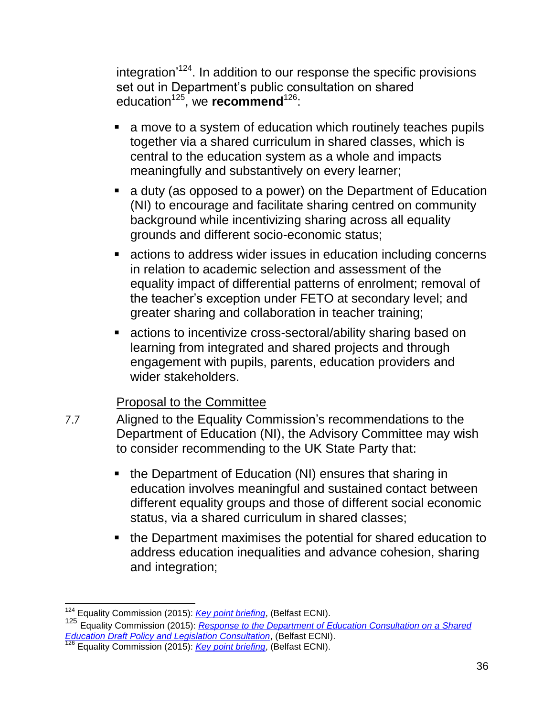integration<sup>,124</sup>. In addition to our response the specific provisions set out in Department's public consultation on shared education<sup>125</sup>, we **recommend**<sup>126</sup>:

- a move to a system of education which routinely teaches pupils together via a shared curriculum in shared classes, which is central to the education system as a whole and impacts meaningfully and substantively on every learner;
- a duty (as opposed to a power) on the Department of Education (NI) to encourage and facilitate sharing centred on community background while incentivizing sharing across all equality grounds and different socio-economic status;
- actions to address wider issues in education including concerns in relation to academic selection and assessment of the equality impact of differential patterns of enrolment; removal of the teacher's exception under FETO at secondary level; and greater sharing and collaboration in teacher training;
- actions to incentivize cross-sectoral/ability sharing based on learning from integrated and shared projects and through engagement with pupils, parents, education providers and wider stakeholders.

#### Proposal to the Committee

- 7.7 Aligned to the Equality Commission's recommendations to the Department of Education (NI), the Advisory Committee may wish to consider recommending to the UK State Party that:
	- the Department of Education (NI) ensures that sharing in education involves meaningful and sustained contact between different equality groups and those of different social economic status, via a shared curriculum in shared classes;
	- the Department maximises the potential for shared education to address education inequalities and advance cohesion, sharing and integration;

 $\overline{a}$ <sup>124</sup> Equality Commission (2015): *[Key point briefing](http://www.equalityni.org/ECNI/media/ECNI/Publications/Delivering%20Equality/SharedEducation_KeyPointBriefing.pdf)*, (Belfast ECNI). <sup>125</sup> Equality Commission (2015): *[Response to the Department of Education Consultation on a Shared](http://www.equalityni.org/ECNI/media/ECNI/Consultation%20Responses/2015/DENI-SharedEducation_Summary.pdf?ext=.pdf)  [Education Draft Policy and Legislation Consultation](http://www.equalityni.org/ECNI/media/ECNI/Consultation%20Responses/2015/DENI-SharedEducation_Summary.pdf?ext=.pdf)*, (Belfast ECNI).

<sup>126</sup> Equality Commission (2015): *[Key point briefing](http://www.equalityni.org/ECNI/media/ECNI/Publications/Delivering%20Equality/SharedEducation_KeyPointBriefing.pdf)*, (Belfast ECNI).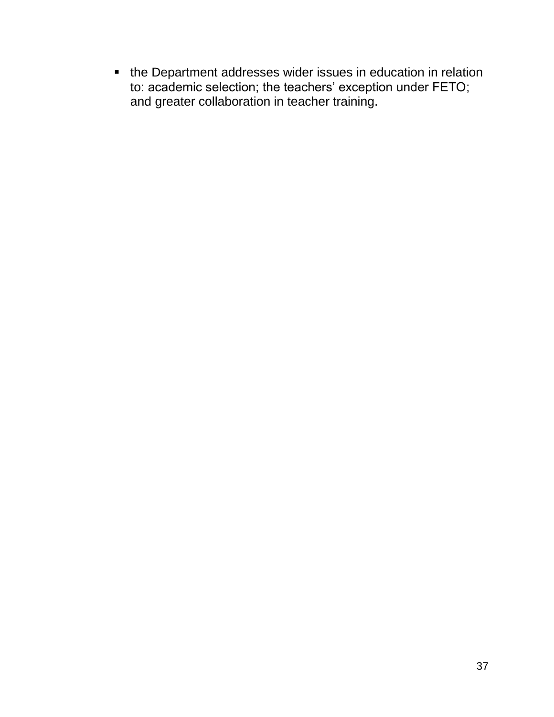**•** the Department addresses wider issues in education in relation to: academic selection; the teachers' exception under FETO; and greater collaboration in teacher training.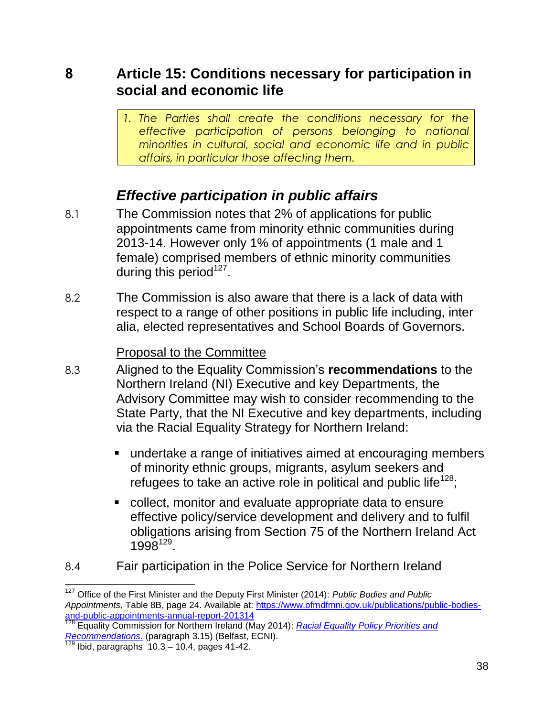**8 Article 15: Conditions necessary for participation in social and economic life**

> *1. The Parties shall create the conditions necessary for the effective participation of persons belonging to national minorities in cultural, social and economic life and in public affairs, in particular those affecting them.*

# *Effective participation in public affairs*

- 8.1 The Commission notes that 2% of applications for public appointments came from minority ethnic communities during 2013-14. However only 1% of appointments (1 male and 1 female) comprised members of ethnic minority communities during this period $127$ .
- 8.2 The Commission is also aware that there is a lack of data with respect to a range of other positions in public life including, inter alia, elected representatives and School Boards of Governors.

#### Proposal to the Committee

- 8.3 Aligned to the Equality Commission's **recommendations** to the Northern Ireland (NI) Executive and key Departments, the Advisory Committee may wish to consider recommending to the State Party, that the NI Executive and key departments, including via the Racial Equality Strategy for Northern Ireland:
	- undertake a range of initiatives aimed at encouraging members of minority ethnic groups, migrants, asylum seekers and refugees to take an active role in political and public life<sup>128</sup>;
	- collect, monitor and evaluate appropriate data to ensure effective policy/service development and delivery and to fulfil obligations arising from Section 75 of the Northern Ireland Act 1998<sup>129</sup>.
- 8.4 Fair participation in the Police Service for Northern Ireland

<sup>127</sup> Office of the First Minister and the Deputy First Minister (2014): *Public Bodies and Public Appointments,* Table 8B, page 24. Available at: [https://www.ofmdfmni.gov.uk/publications/public-bodies](https://www.ofmdfmni.gov.uk/publications/public-bodies-and-public-appointments-annual-report-201314)[and-public-appointments-annual-report-201314](https://www.ofmdfmni.gov.uk/publications/public-bodies-and-public-appointments-annual-report-201314)

<sup>128</sup> Equality Commission for Northern Ireland (May 2014): *[Racial Equality Policy Priorities and](http://www.google.co.uk/url?url=http://www.equalityni.org/Delivering-Equality/Equality-Themes/Racial-equality.aspx&rct=j&frm=1&q=&esrc=s&sa=U&ved=0CBQQFjAAahUKEwj9hp3Jt9jGAhXDbRQKHR4eCRg&usg=AFQjCNEf3Ns7e2VMpHN638CX_eV4mRk8bQ)  [Recommendations.](http://www.google.co.uk/url?url=http://www.equalityni.org/Delivering-Equality/Equality-Themes/Racial-equality.aspx&rct=j&frm=1&q=&esrc=s&sa=U&ved=0CBQQFjAAahUKEwj9hp3Jt9jGAhXDbRQKHR4eCRg&usg=AFQjCNEf3Ns7e2VMpHN638CX_eV4mRk8bQ)* (paragraph 3.15) (Belfast, ECNI).

Ibid, paragraphs  $10.3 - 10.4$ , pages  $41-42$ .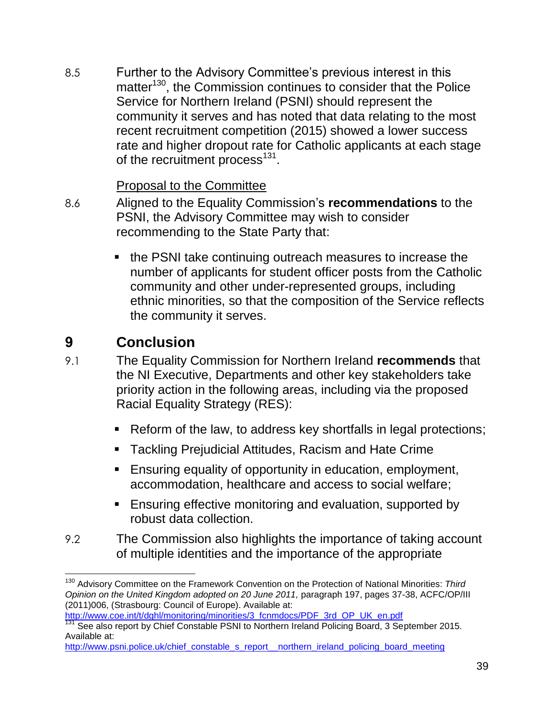8.5 Further to the Advisory Committee's previous interest in this matter<sup>130</sup>, the Commission continues to consider that the Police Service for Northern Ireland (PSNI) should represent the community it serves and has noted that data relating to the most recent recruitment competition (2015) showed a lower success rate and higher dropout rate for Catholic applicants at each stage of the recruitment process<sup>131</sup>.

#### Proposal to the Committee

- 8.6 Aligned to the Equality Commission's **recommendations** to the PSNI, the Advisory Committee may wish to consider recommending to the State Party that:
	- the PSNI take continuing outreach measures to increase the number of applicants for student officer posts from the Catholic community and other under-represented groups, including ethnic minorities, so that the composition of the Service reflects the community it serves.

## **9 Conclusion**

- 9.1 The Equality Commission for Northern Ireland **recommends** that the NI Executive, Departments and other key stakeholders take priority action in the following areas, including via the proposed Racial Equality Strategy (RES):
	- Reform of the law, to address key shortfalls in legal protections;
	- **Tackling Prejudicial Attitudes, Racism and Hate Crime**
	- **Ensuring equality of opportunity in education, employment,** accommodation, healthcare and access to social welfare;
	- **Ensuring effective monitoring and evaluation, supported by** robust data collection.
- 9.2 The Commission also highlights the importance of taking account of multiple identities and the importance of the appropriate

 $\overline{\phantom{a}}$ <sup>130</sup> Advisory Committee on the Framework Convention on the Protection of National Minorities: *Third Opinion on the United Kingdom adopted on 20 June 2011,* paragraph 197, pages 37-38, ACFC/OP/III (2011)006, (Strasbourg: Council of Europe). Available at: http://www.coe.int/t/dghl/monitoring/minorities/3\_fcnmdocs/PDF\_3rd\_OP\_UK\_en.pdf

<sup>&</sup>lt;sup>131</sup> See also report by Chief Constable PSNI to Northern Ireland Policing Board, 3 September 2015. Available at:

[http://www.psni.police.uk/chief\\_constable\\_s\\_report\\_\\_northern\\_ireland\\_policing\\_board\\_meeting](http://www.psni.police.uk/chief_constable_s_report__northern_ireland_policing_board_meeting)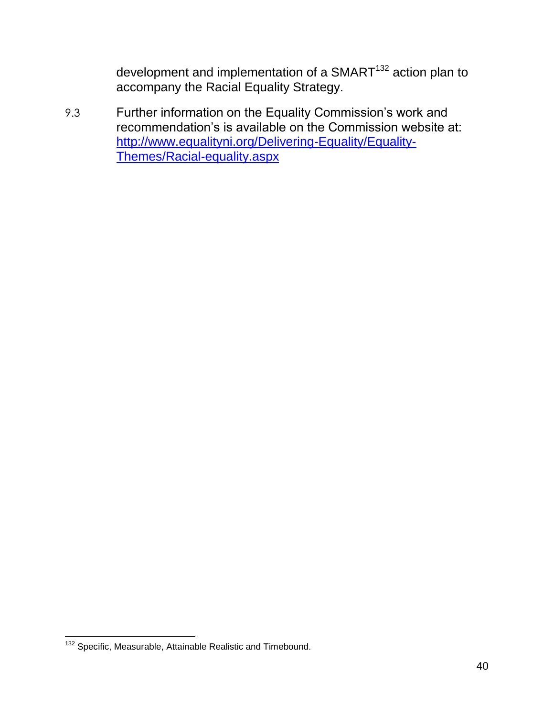development and implementation of a SMART<sup>132</sup> action plan to accompany the Racial Equality Strategy.

9.3 Further information on the Equality Commission's work and recommendation's is available on the Commission website at: [http://www.equalityni.org/Delivering-Equality/Equality-](http://www.equalityni.org/Delivering-Equality/Equality-Themes/Racial-equality.aspx)[Themes/Racial-equality.aspx](http://www.equalityni.org/Delivering-Equality/Equality-Themes/Racial-equality.aspx)

 $\overline{a}$ <sup>132</sup> Specific, Measurable, Attainable Realistic and Timebound.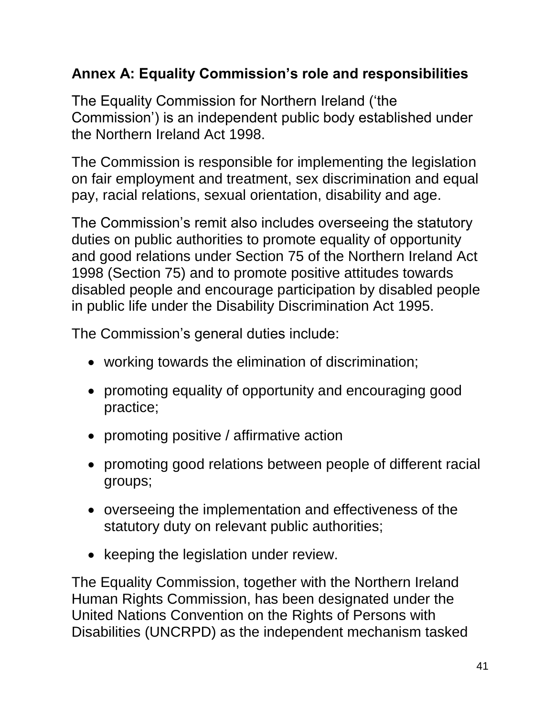# **Annex A: Equality Commission's role and responsibilities**

The Equality Commission for Northern Ireland ('the Commission') is an independent public body established under the Northern Ireland Act 1998.

The Commission is responsible for implementing the legislation on fair employment and treatment, sex discrimination and equal pay, racial relations, sexual orientation, disability and age.

The Commission's remit also includes overseeing the statutory duties on public authorities to promote equality of opportunity and good relations under Section 75 of the Northern Ireland Act 1998 (Section 75) and to promote positive attitudes towards disabled people and encourage participation by disabled people in public life under the Disability Discrimination Act 1995.

The Commission's general duties include:

- working towards the elimination of discrimination;
- promoting equality of opportunity and encouraging good practice;
- promoting positive / affirmative action
- promoting good relations between people of different racial groups;
- overseeing the implementation and effectiveness of the statutory duty on relevant public authorities;
- keeping the legislation under review.

The Equality Commission, together with the Northern Ireland Human Rights Commission, has been designated under the United Nations Convention on the Rights of Persons with Disabilities (UNCRPD) as the independent mechanism tasked